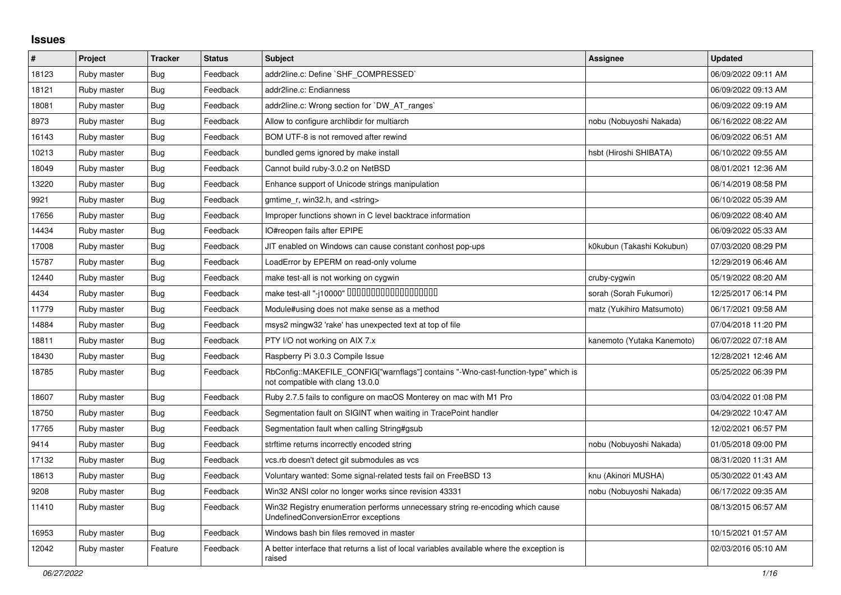## **Issues**

| #     | Project     | <b>Tracker</b> | <b>Status</b> | <b>Subject</b>                                                                                                         | <b>Assignee</b>            | <b>Updated</b>      |
|-------|-------------|----------------|---------------|------------------------------------------------------------------------------------------------------------------------|----------------------------|---------------------|
| 18123 | Ruby master | Bug            | Feedback      | addr2line.c: Define `SHF_COMPRESSED`                                                                                   |                            | 06/09/2022 09:11 AM |
| 18121 | Ruby master | Bug            | Feedback      | addr2line.c: Endianness                                                                                                |                            | 06/09/2022 09:13 AM |
| 18081 | Ruby master | Bug            | Feedback      | addr2line.c: Wrong section for `DW AT ranges`                                                                          |                            | 06/09/2022 09:19 AM |
| 8973  | Ruby master | <b>Bug</b>     | Feedback      | Allow to configure archlibdir for multiarch                                                                            | nobu (Nobuyoshi Nakada)    | 06/16/2022 08:22 AM |
| 16143 | Ruby master | Bug            | Feedback      | BOM UTF-8 is not removed after rewind                                                                                  |                            | 06/09/2022 06:51 AM |
| 10213 | Ruby master | <b>Bug</b>     | Feedback      | bundled gems ignored by make install                                                                                   | hsbt (Hiroshi SHIBATA)     | 06/10/2022 09:55 AM |
| 18049 | Ruby master | Bug            | Feedback      | Cannot build ruby-3.0.2 on NetBSD                                                                                      |                            | 08/01/2021 12:36 AM |
| 13220 | Ruby master | <b>Bug</b>     | Feedback      | Enhance support of Unicode strings manipulation                                                                        |                            | 06/14/2019 08:58 PM |
| 9921  | Ruby master | <b>Bug</b>     | Feedback      | gmtime_r, win32.h, and <string></string>                                                                               |                            | 06/10/2022 05:39 AM |
| 17656 | Ruby master | Bug            | Feedback      | Improper functions shown in C level backtrace information                                                              |                            | 06/09/2022 08:40 AM |
| 14434 | Ruby master | Bug            | Feedback      | IO#reopen fails after EPIPE                                                                                            |                            | 06/09/2022 05:33 AM |
| 17008 | Ruby master | Bug            | Feedback      | JIT enabled on Windows can cause constant conhost pop-ups                                                              | k0kubun (Takashi Kokubun)  | 07/03/2020 08:29 PM |
| 15787 | Ruby master | <b>Bug</b>     | Feedback      | LoadError by EPERM on read-only volume                                                                                 |                            | 12/29/2019 06:46 AM |
| 12440 | Ruby master | <b>Bug</b>     | Feedback      | make test-all is not working on cygwin                                                                                 | cruby-cygwin               | 05/19/2022 08:20 AM |
| 4434  | Ruby master | Bug            | Feedback      | make test-all "-j10000" 0000000000000000000                                                                            | sorah (Sorah Fukumori)     | 12/25/2017 06:14 PM |
| 11779 | Ruby master | Bug            | Feedback      | Module#using does not make sense as a method                                                                           | matz (Yukihiro Matsumoto)  | 06/17/2021 09:58 AM |
| 14884 | Ruby master | Bug            | Feedback      | msys2 mingw32 'rake' has unexpected text at top of file                                                                |                            | 07/04/2018 11:20 PM |
| 18811 | Ruby master | <b>Bug</b>     | Feedback      | PTY I/O not working on AIX 7.x                                                                                         | kanemoto (Yutaka Kanemoto) | 06/07/2022 07:18 AM |
| 18430 | Ruby master | <b>Bug</b>     | Feedback      | Raspberry Pi 3.0.3 Compile Issue                                                                                       |                            | 12/28/2021 12:46 AM |
| 18785 | Ruby master | Bug            | Feedback      | RbConfig::MAKEFILE_CONFIG["warnflags"] contains "-Wno-cast-function-type" which is<br>not compatible with clang 13.0.0 |                            | 05/25/2022 06:39 PM |
| 18607 | Ruby master | <b>Bug</b>     | Feedback      | Ruby 2.7.5 fails to configure on macOS Monterey on mac with M1 Pro                                                     |                            | 03/04/2022 01:08 PM |
| 18750 | Ruby master | Bug            | Feedback      | Segmentation fault on SIGINT when waiting in TracePoint handler                                                        |                            | 04/29/2022 10:47 AM |
| 17765 | Ruby master | Bug            | Feedback      | Segmentation fault when calling String#gsub                                                                            |                            | 12/02/2021 06:57 PM |
| 9414  | Ruby master | Bug            | Feedback      | strftime returns incorrectly encoded string                                                                            | nobu (Nobuyoshi Nakada)    | 01/05/2018 09:00 PM |
| 17132 | Ruby master | Bug            | Feedback      | vcs.rb doesn't detect git submodules as vcs                                                                            |                            | 08/31/2020 11:31 AM |
| 18613 | Ruby master | Bug            | Feedback      | Voluntary wanted: Some signal-related tests fail on FreeBSD 13                                                         | knu (Akinori MUSHA)        | 05/30/2022 01:43 AM |
| 9208  | Ruby master | <b>Bug</b>     | Feedback      | Win32 ANSI color no longer works since revision 43331                                                                  | nobu (Nobuyoshi Nakada)    | 06/17/2022 09:35 AM |
| 11410 | Ruby master | Bug            | Feedback      | Win32 Registry enumeration performs unnecessary string re-encoding which cause<br>UndefinedConversionError exceptions  |                            | 08/13/2015 06:57 AM |
| 16953 | Ruby master | Bug            | Feedback      | Windows bash bin files removed in master                                                                               |                            | 10/15/2021 01:57 AM |
| 12042 | Ruby master | Feature        | Feedback      | A better interface that returns a list of local variables available where the exception is<br>raised                   |                            | 02/03/2016 05:10 AM |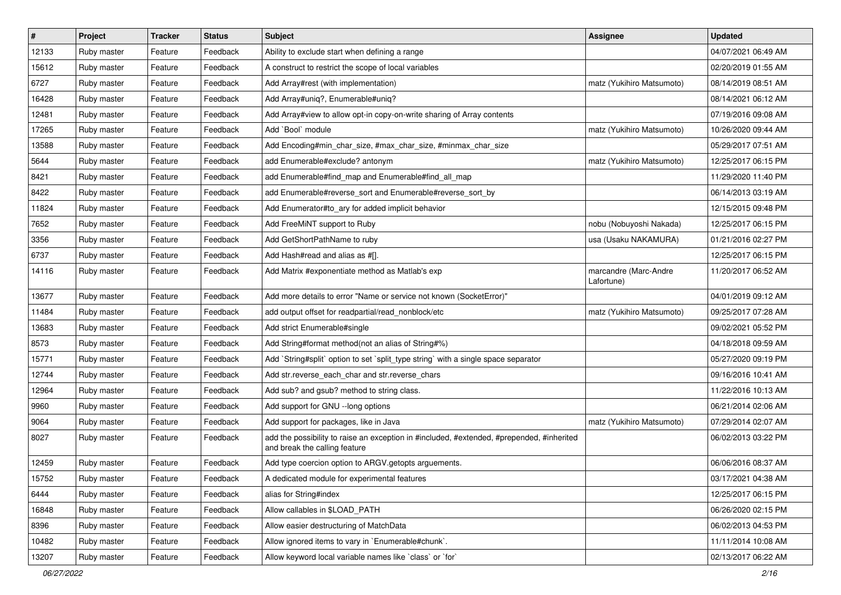| #     | <b>Project</b> | <b>Tracker</b> | <b>Status</b> | Subject                                                                                                                    | <b>Assignee</b>                     | <b>Updated</b>      |
|-------|----------------|----------------|---------------|----------------------------------------------------------------------------------------------------------------------------|-------------------------------------|---------------------|
| 12133 | Ruby master    | Feature        | Feedback      | Ability to exclude start when defining a range                                                                             |                                     | 04/07/2021 06:49 AM |
| 15612 | Ruby master    | Feature        | Feedback      | A construct to restrict the scope of local variables                                                                       |                                     | 02/20/2019 01:55 AM |
| 6727  | Ruby master    | Feature        | Feedback      | Add Array#rest (with implementation)                                                                                       | matz (Yukihiro Matsumoto)           | 08/14/2019 08:51 AM |
| 16428 | Ruby master    | Feature        | Feedback      | Add Array#uniq?, Enumerable#uniq?                                                                                          |                                     | 08/14/2021 06:12 AM |
| 12481 | Ruby master    | Feature        | Feedback      | Add Array#view to allow opt-in copy-on-write sharing of Array contents                                                     |                                     | 07/19/2016 09:08 AM |
| 17265 | Ruby master    | Feature        | Feedback      | Add `Bool` module                                                                                                          | matz (Yukihiro Matsumoto)           | 10/26/2020 09:44 AM |
| 13588 | Ruby master    | Feature        | Feedback      | Add Encoding#min_char_size, #max_char_size, #minmax_char_size                                                              |                                     | 05/29/2017 07:51 AM |
| 5644  | Ruby master    | Feature        | Feedback      | add Enumerable#exclude? antonym                                                                                            | matz (Yukihiro Matsumoto)           | 12/25/2017 06:15 PM |
| 8421  | Ruby master    | Feature        | Feedback      | add Enumerable#find_map and Enumerable#find_all_map                                                                        |                                     | 11/29/2020 11:40 PM |
| 8422  | Ruby master    | Feature        | Feedback      | add Enumerable#reverse_sort and Enumerable#reverse_sort_by                                                                 |                                     | 06/14/2013 03:19 AM |
| 11824 | Ruby master    | Feature        | Feedback      | Add Enumerator#to_ary for added implicit behavior                                                                          |                                     | 12/15/2015 09:48 PM |
| 7652  | Ruby master    | Feature        | Feedback      | Add FreeMiNT support to Ruby                                                                                               | nobu (Nobuyoshi Nakada)             | 12/25/2017 06:15 PM |
| 3356  | Ruby master    | Feature        | Feedback      | Add GetShortPathName to ruby                                                                                               | usa (Usaku NAKAMURA)                | 01/21/2016 02:27 PM |
| 6737  | Ruby master    | Feature        | Feedback      | Add Hash#read and alias as #[].                                                                                            |                                     | 12/25/2017 06:15 PM |
| 14116 | Ruby master    | Feature        | Feedback      | Add Matrix #exponentiate method as Matlab's exp                                                                            | marcandre (Marc-Andre<br>Lafortune) | 11/20/2017 06:52 AM |
| 13677 | Ruby master    | Feature        | Feedback      | Add more details to error "Name or service not known (SocketError)"                                                        |                                     | 04/01/2019 09:12 AM |
| 11484 | Ruby master    | Feature        | Feedback      | add output offset for readpartial/read_nonblock/etc                                                                        | matz (Yukihiro Matsumoto)           | 09/25/2017 07:28 AM |
| 13683 | Ruby master    | Feature        | Feedback      | Add strict Enumerable#single                                                                                               |                                     | 09/02/2021 05:52 PM |
| 8573  | Ruby master    | Feature        | Feedback      | Add String#format method(not an alias of String#%)                                                                         |                                     | 04/18/2018 09:59 AM |
| 15771 | Ruby master    | Feature        | Feedback      | Add `String#split` option to set `split_type string` with a single space separator                                         |                                     | 05/27/2020 09:19 PM |
| 12744 | Ruby master    | Feature        | Feedback      | Add str.reverse_each_char and str.reverse_chars                                                                            |                                     | 09/16/2016 10:41 AM |
| 12964 | Ruby master    | Feature        | Feedback      | Add sub? and gsub? method to string class.                                                                                 |                                     | 11/22/2016 10:13 AM |
| 9960  | Ruby master    | Feature        | Feedback      | Add support for GNU --long options                                                                                         |                                     | 06/21/2014 02:06 AM |
| 9064  | Ruby master    | Feature        | Feedback      | Add support for packages, like in Java                                                                                     | matz (Yukihiro Matsumoto)           | 07/29/2014 02:07 AM |
| 8027  | Ruby master    | Feature        | Feedback      | add the possibility to raise an exception in #included, #extended, #prepended, #inherited<br>and break the calling feature |                                     | 06/02/2013 03:22 PM |
| 12459 | Ruby master    | Feature        | Feedback      | Add type coercion option to ARGV getopts arguements.                                                                       |                                     | 06/06/2016 08:37 AM |
| 15752 | Ruby master    | Feature        | Feedback      | A dedicated module for experimental features                                                                               |                                     | 03/17/2021 04:38 AM |
| 6444  | Ruby master    | Feature        | Feedback      | alias for String#index                                                                                                     |                                     | 12/25/2017 06:15 PM |
| 16848 | Ruby master    | Feature        | Feedback      | Allow callables in \$LOAD_PATH                                                                                             |                                     | 06/26/2020 02:15 PM |
| 8396  | Ruby master    | Feature        | Feedback      | Allow easier destructuring of MatchData                                                                                    |                                     | 06/02/2013 04:53 PM |
| 10482 | Ruby master    | Feature        | Feedback      | Allow ignored items to vary in `Enumerable#chunk`.                                                                         |                                     | 11/11/2014 10:08 AM |
| 13207 | Ruby master    | Feature        | Feedback      | Allow keyword local variable names like `class` or `for`                                                                   |                                     | 02/13/2017 06:22 AM |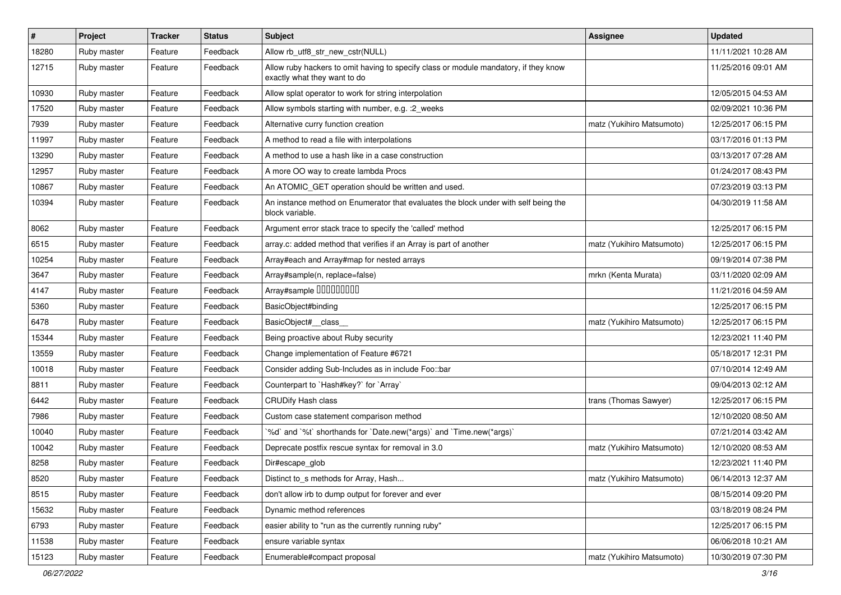| $\vert$ # | Project     | <b>Tracker</b> | <b>Status</b> | <b>Subject</b>                                                                                                       | <b>Assignee</b>           | <b>Updated</b>      |
|-----------|-------------|----------------|---------------|----------------------------------------------------------------------------------------------------------------------|---------------------------|---------------------|
| 18280     | Ruby master | Feature        | Feedback      | Allow rb_utf8_str_new_cstr(NULL)                                                                                     |                           | 11/11/2021 10:28 AM |
| 12715     | Ruby master | Feature        | Feedback      | Allow ruby hackers to omit having to specify class or module mandatory, if they know<br>exactly what they want to do |                           | 11/25/2016 09:01 AM |
| 10930     | Ruby master | Feature        | Feedback      | Allow splat operator to work for string interpolation                                                                |                           | 12/05/2015 04:53 AM |
| 17520     | Ruby master | Feature        | Feedback      | Allow symbols starting with number, e.g. : 2_weeks                                                                   |                           | 02/09/2021 10:36 PM |
| 7939      | Ruby master | Feature        | Feedback      | Alternative curry function creation                                                                                  | matz (Yukihiro Matsumoto) | 12/25/2017 06:15 PM |
| 11997     | Ruby master | Feature        | Feedback      | A method to read a file with interpolations                                                                          |                           | 03/17/2016 01:13 PM |
| 13290     | Ruby master | Feature        | Feedback      | A method to use a hash like in a case construction                                                                   |                           | 03/13/2017 07:28 AM |
| 12957     | Ruby master | Feature        | Feedback      | A more OO way to create lambda Procs                                                                                 |                           | 01/24/2017 08:43 PM |
| 10867     | Ruby master | Feature        | Feedback      | An ATOMIC_GET operation should be written and used.                                                                  |                           | 07/23/2019 03:13 PM |
| 10394     | Ruby master | Feature        | Feedback      | An instance method on Enumerator that evaluates the block under with self being the<br>block variable.               |                           | 04/30/2019 11:58 AM |
| 8062      | Ruby master | Feature        | Feedback      | Argument error stack trace to specify the 'called' method                                                            |                           | 12/25/2017 06:15 PM |
| 6515      | Ruby master | Feature        | Feedback      | array.c: added method that verifies if an Array is part of another                                                   | matz (Yukihiro Matsumoto) | 12/25/2017 06:15 PM |
| 10254     | Ruby master | Feature        | Feedback      | Array#each and Array#map for nested arrays                                                                           |                           | 09/19/2014 07:38 PM |
| 3647      | Ruby master | Feature        | Feedback      | Array#sample(n, replace=false)                                                                                       | mrkn (Kenta Murata)       | 03/11/2020 02:09 AM |
| 4147      | Ruby master | Feature        | Feedback      | Array#sample 00000000                                                                                                |                           | 11/21/2016 04:59 AM |
| 5360      | Ruby master | Feature        | Feedback      | BasicObject#binding                                                                                                  |                           | 12/25/2017 06:15 PM |
| 6478      | Ruby master | Feature        | Feedback      | BasicObject# class                                                                                                   | matz (Yukihiro Matsumoto) | 12/25/2017 06:15 PM |
| 15344     | Ruby master | Feature        | Feedback      | Being proactive about Ruby security                                                                                  |                           | 12/23/2021 11:40 PM |
| 13559     | Ruby master | Feature        | Feedback      | Change implementation of Feature #6721                                                                               |                           | 05/18/2017 12:31 PM |
| 10018     | Ruby master | Feature        | Feedback      | Consider adding Sub-Includes as in include Foo::bar                                                                  |                           | 07/10/2014 12:49 AM |
| 8811      | Ruby master | Feature        | Feedback      | Counterpart to `Hash#key?` for `Array`                                                                               |                           | 09/04/2013 02:12 AM |
| 6442      | Ruby master | Feature        | Feedback      | <b>CRUDify Hash class</b>                                                                                            | trans (Thomas Sawyer)     | 12/25/2017 06:15 PM |
| 7986      | Ruby master | Feature        | Feedback      | Custom case statement comparison method                                                                              |                           | 12/10/2020 08:50 AM |
| 10040     | Ruby master | Feature        | Feedback      | '%d' and '%t' shorthands for 'Date.new(*args)' and 'Time.new(*args)'                                                 |                           | 07/21/2014 03:42 AM |
| 10042     | Ruby master | Feature        | Feedback      | Deprecate postfix rescue syntax for removal in 3.0                                                                   | matz (Yukihiro Matsumoto) | 12/10/2020 08:53 AM |
| 8258      | Ruby master | Feature        | Feedback      | Dir#escape_glob                                                                                                      |                           | 12/23/2021 11:40 PM |
| 8520      | Ruby master | Feature        | Feedback      | Distinct to_s methods for Array, Hash                                                                                | matz (Yukihiro Matsumoto) | 06/14/2013 12:37 AM |
| 8515      | Ruby master | Feature        | Feedback      | don't allow irb to dump output for forever and ever                                                                  |                           | 08/15/2014 09:20 PM |
| 15632     | Ruby master | Feature        | Feedback      | Dynamic method references                                                                                            |                           | 03/18/2019 08:24 PM |
| 6793      | Ruby master | Feature        | Feedback      | easier ability to "run as the currently running ruby"                                                                |                           | 12/25/2017 06:15 PM |
| 11538     | Ruby master | Feature        | Feedback      | ensure variable syntax                                                                                               |                           | 06/06/2018 10:21 AM |
| 15123     | Ruby master | Feature        | Feedback      | Enumerable#compact proposal                                                                                          | matz (Yukihiro Matsumoto) | 10/30/2019 07:30 PM |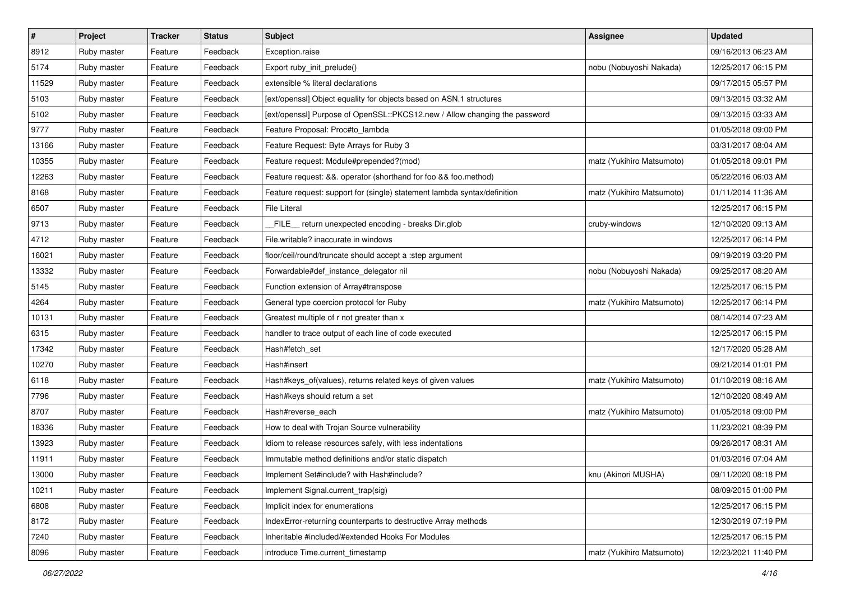| $\vert$ # | Project     | <b>Tracker</b> | <b>Status</b> | Subject                                                                    | Assignee                  | <b>Updated</b>      |
|-----------|-------------|----------------|---------------|----------------------------------------------------------------------------|---------------------------|---------------------|
| 8912      | Ruby master | Feature        | Feedback      | Exception.raise                                                            |                           | 09/16/2013 06:23 AM |
| 5174      | Ruby master | Feature        | Feedback      | Export ruby_init_prelude()                                                 | nobu (Nobuyoshi Nakada)   | 12/25/2017 06:15 PM |
| 11529     | Ruby master | Feature        | Feedback      | extensible % literal declarations                                          |                           | 09/17/2015 05:57 PM |
| 5103      | Ruby master | Feature        | Feedback      | [ext/openssl] Object equality for objects based on ASN.1 structures        |                           | 09/13/2015 03:32 AM |
| 5102      | Ruby master | Feature        | Feedback      | [ext/openssl] Purpose of OpenSSL::PKCS12.new / Allow changing the password |                           | 09/13/2015 03:33 AM |
| 9777      | Ruby master | Feature        | Feedback      | Feature Proposal: Proc#to_lambda                                           |                           | 01/05/2018 09:00 PM |
| 13166     | Ruby master | Feature        | Feedback      | Feature Request: Byte Arrays for Ruby 3                                    |                           | 03/31/2017 08:04 AM |
| 10355     | Ruby master | Feature        | Feedback      | Feature request: Module#prepended?(mod)                                    | matz (Yukihiro Matsumoto) | 01/05/2018 09:01 PM |
| 12263     | Ruby master | Feature        | Feedback      | Feature request: &&. operator (shorthand for foo && foo.method)            |                           | 05/22/2016 06:03 AM |
| 8168      | Ruby master | Feature        | Feedback      | Feature request: support for (single) statement lambda syntax/definition   | matz (Yukihiro Matsumoto) | 01/11/2014 11:36 AM |
| 6507      | Ruby master | Feature        | Feedback      | <b>File Literal</b>                                                        |                           | 12/25/2017 06:15 PM |
| 9713      | Ruby master | Feature        | Feedback      | FILE_ return unexpected encoding - breaks Dir.glob                         | cruby-windows             | 12/10/2020 09:13 AM |
| 4712      | Ruby master | Feature        | Feedback      | File.writable? inaccurate in windows                                       |                           | 12/25/2017 06:14 PM |
| 16021     | Ruby master | Feature        | Feedback      | floor/ceil/round/truncate should accept a :step argument                   |                           | 09/19/2019 03:20 PM |
| 13332     | Ruby master | Feature        | Feedback      | Forwardable#def_instance_delegator nil                                     | nobu (Nobuyoshi Nakada)   | 09/25/2017 08:20 AM |
| 5145      | Ruby master | Feature        | Feedback      | Function extension of Array#transpose                                      |                           | 12/25/2017 06:15 PM |
| 4264      | Ruby master | Feature        | Feedback      | General type coercion protocol for Ruby                                    | matz (Yukihiro Matsumoto) | 12/25/2017 06:14 PM |
| 10131     | Ruby master | Feature        | Feedback      | Greatest multiple of r not greater than x                                  |                           | 08/14/2014 07:23 AM |
| 6315      | Ruby master | Feature        | Feedback      | handler to trace output of each line of code executed                      |                           | 12/25/2017 06:15 PM |
| 17342     | Ruby master | Feature        | Feedback      | Hash#fetch_set                                                             |                           | 12/17/2020 05:28 AM |
| 10270     | Ruby master | Feature        | Feedback      | Hash#insert                                                                |                           | 09/21/2014 01:01 PM |
| 6118      | Ruby master | Feature        | Feedback      | Hash#keys_of(values), returns related keys of given values                 | matz (Yukihiro Matsumoto) | 01/10/2019 08:16 AM |
| 7796      | Ruby master | Feature        | Feedback      | Hash#keys should return a set                                              |                           | 12/10/2020 08:49 AM |
| 8707      | Ruby master | Feature        | Feedback      | Hash#reverse_each                                                          | matz (Yukihiro Matsumoto) | 01/05/2018 09:00 PM |
| 18336     | Ruby master | Feature        | Feedback      | How to deal with Trojan Source vulnerability                               |                           | 11/23/2021 08:39 PM |
| 13923     | Ruby master | Feature        | Feedback      | Idiom to release resources safely, with less indentations                  |                           | 09/26/2017 08:31 AM |
| 11911     | Ruby master | Feature        | Feedback      | Immutable method definitions and/or static dispatch                        |                           | 01/03/2016 07:04 AM |
| 13000     | Ruby master | Feature        | Feedback      | Implement Set#include? with Hash#include?                                  | knu (Akinori MUSHA)       | 09/11/2020 08:18 PM |
| 10211     | Ruby master | Feature        | Feedback      | Implement Signal.current trap(sig)                                         |                           | 08/09/2015 01:00 PM |
| 6808      | Ruby master | Feature        | Feedback      | Implicit index for enumerations                                            |                           | 12/25/2017 06:15 PM |
| 8172      | Ruby master | Feature        | Feedback      | IndexError-returning counterparts to destructive Array methods             |                           | 12/30/2019 07:19 PM |
| 7240      | Ruby master | Feature        | Feedback      | Inheritable #included/#extended Hooks For Modules                          |                           | 12/25/2017 06:15 PM |
| 8096      | Ruby master | Feature        | Feedback      | introduce Time.current_timestamp                                           | matz (Yukihiro Matsumoto) | 12/23/2021 11:40 PM |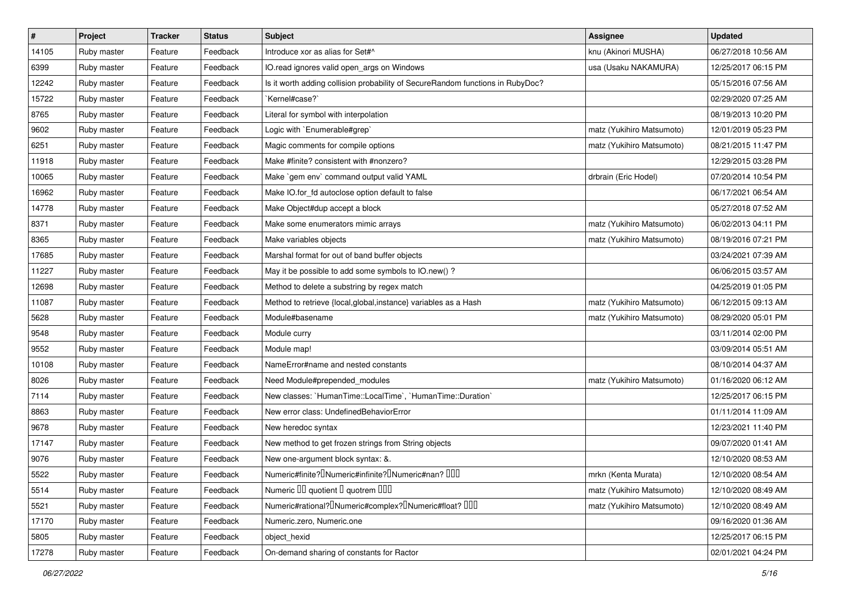| $\vert$ # | Project     | <b>Tracker</b> | <b>Status</b> | Subject                                                                                       | <b>Assignee</b>           | <b>Updated</b>      |
|-----------|-------------|----------------|---------------|-----------------------------------------------------------------------------------------------|---------------------------|---------------------|
| 14105     | Ruby master | Feature        | Feedback      | Introduce xor as alias for Set#^                                                              | knu (Akinori MUSHA)       | 06/27/2018 10:56 AM |
| 6399      | Ruby master | Feature        | Feedback      | IO.read ignores valid open_args on Windows                                                    | usa (Usaku NAKAMURA)      | 12/25/2017 06:15 PM |
| 12242     | Ruby master | Feature        | Feedback      | Is it worth adding collision probability of SecureRandom functions in RubyDoc?                |                           | 05/15/2016 07:56 AM |
| 15722     | Ruby master | Feature        | Feedback      | `Kernel#case?`                                                                                |                           | 02/29/2020 07:25 AM |
| 8765      | Ruby master | Feature        | Feedback      | Literal for symbol with interpolation                                                         |                           | 08/19/2013 10:20 PM |
| 9602      | Ruby master | Feature        | Feedback      | Logic with `Enumerable#grep`                                                                  | matz (Yukihiro Matsumoto) | 12/01/2019 05:23 PM |
| 6251      | Ruby master | Feature        | Feedback      | Magic comments for compile options                                                            | matz (Yukihiro Matsumoto) | 08/21/2015 11:47 PM |
| 11918     | Ruby master | Feature        | Feedback      | Make #finite? consistent with #nonzero?                                                       |                           | 12/29/2015 03:28 PM |
| 10065     | Ruby master | Feature        | Feedback      | Make `gem env` command output valid YAML                                                      | drbrain (Eric Hodel)      | 07/20/2014 10:54 PM |
| 16962     | Ruby master | Feature        | Feedback      | Make IO.for_fd autoclose option default to false                                              |                           | 06/17/2021 06:54 AM |
| 14778     | Ruby master | Feature        | Feedback      | Make Object#dup accept a block                                                                |                           | 05/27/2018 07:52 AM |
| 8371      | Ruby master | Feature        | Feedback      | Make some enumerators mimic arrays                                                            | matz (Yukihiro Matsumoto) | 06/02/2013 04:11 PM |
| 8365      | Ruby master | Feature        | Feedback      | Make variables objects                                                                        | matz (Yukihiro Matsumoto) | 08/19/2016 07:21 PM |
| 17685     | Ruby master | Feature        | Feedback      | Marshal format for out of band buffer objects                                                 |                           | 03/24/2021 07:39 AM |
| 11227     | Ruby master | Feature        | Feedback      | May it be possible to add some symbols to IO.new()?                                           |                           | 06/06/2015 03:57 AM |
| 12698     | Ruby master | Feature        | Feedback      | Method to delete a substring by regex match                                                   |                           | 04/25/2019 01:05 PM |
| 11087     | Ruby master | Feature        | Feedback      | Method to retrieve {local, global, instance} variables as a Hash                              | matz (Yukihiro Matsumoto) | 06/12/2015 09:13 AM |
| 5628      | Ruby master | Feature        | Feedback      | Module#basename                                                                               | matz (Yukihiro Matsumoto) | 08/29/2020 05:01 PM |
| 9548      | Ruby master | Feature        | Feedback      | Module curry                                                                                  |                           | 03/11/2014 02:00 PM |
| 9552      | Ruby master | Feature        | Feedback      | Module map!                                                                                   |                           | 03/09/2014 05:51 AM |
| 10108     | Ruby master | Feature        | Feedback      | NameError#name and nested constants                                                           |                           | 08/10/2014 04:37 AM |
| 8026      | Ruby master | Feature        | Feedback      | Need Module#prepended_modules                                                                 | matz (Yukihiro Matsumoto) | 01/16/2020 06:12 AM |
| 7114      | Ruby master | Feature        | Feedback      | New classes: `HumanTime::LocalTime`, `HumanTime::Duration`                                    |                           | 12/25/2017 06:15 PM |
| 8863      | Ruby master | Feature        | Feedback      | New error class: UndefinedBehaviorError                                                       |                           | 01/11/2014 11:09 AM |
| 9678      | Ruby master | Feature        | Feedback      | New heredoc syntax                                                                            |                           | 12/23/2021 11:40 PM |
| 17147     | Ruby master | Feature        | Feedback      | New method to get frozen strings from String objects                                          |                           | 09/07/2020 01:41 AM |
| 9076      | Ruby master | Feature        | Feedback      | New one-argument block syntax: &.                                                             |                           | 12/10/2020 08:53 AM |
| 5522      | Ruby master | Feature        | Feedback      | Numeric#finite? <sup>[]</sup> Numeric#infinite? <sup>[]</sup> Numeric#nan? <sup>[10]</sup>    | mrkn (Kenta Murata)       | 12/10/2020 08:54 AM |
| 5514      | Ruby master | Feature        | Feedback      | Numeric III quotient I quotrem IIII                                                           | matz (Yukihiro Matsumoto) | 12/10/2020 08:49 AM |
| 5521      | Ruby master | Feature        | Feedback      | Numeric#rational? <sup>[]</sup> Numeric#complex? <sup>[]</sup> Numeric#float? <sup>[10]</sup> | matz (Yukihiro Matsumoto) | 12/10/2020 08:49 AM |
| 17170     | Ruby master | Feature        | Feedback      | Numeric.zero, Numeric.one                                                                     |                           | 09/16/2020 01:36 AM |
| 5805      | Ruby master | Feature        | Feedback      | object_hexid                                                                                  |                           | 12/25/2017 06:15 PM |
| 17278     | Ruby master | Feature        | Feedback      | On-demand sharing of constants for Ractor                                                     |                           | 02/01/2021 04:24 PM |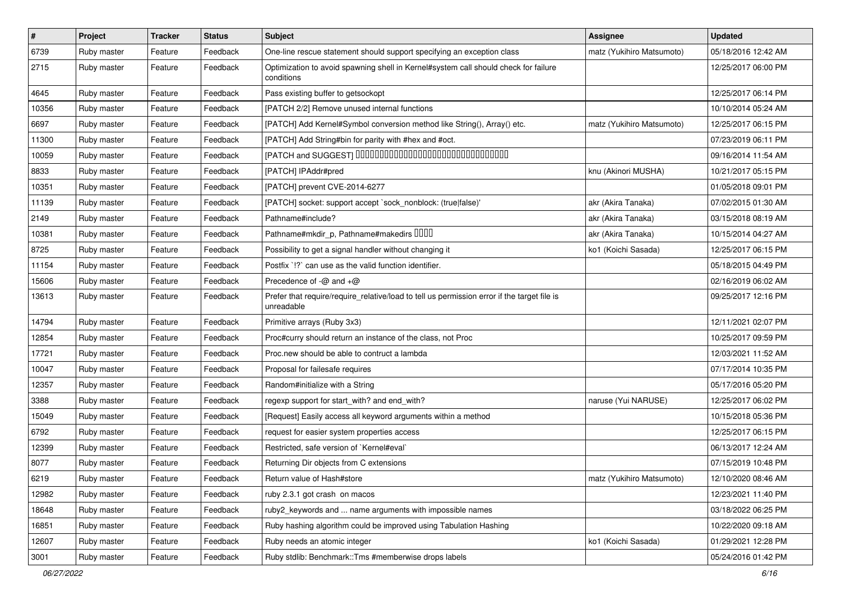| $\vert$ # | Project     | <b>Tracker</b> | <b>Status</b> | Subject                                                                                                   | <b>Assignee</b>           | <b>Updated</b>      |
|-----------|-------------|----------------|---------------|-----------------------------------------------------------------------------------------------------------|---------------------------|---------------------|
| 6739      | Ruby master | Feature        | Feedback      | One-line rescue statement should support specifying an exception class                                    | matz (Yukihiro Matsumoto) | 05/18/2016 12:42 AM |
| 2715      | Ruby master | Feature        | Feedback      | Optimization to avoid spawning shell in Kernel#system call should check for failure<br>conditions         |                           | 12/25/2017 06:00 PM |
| 4645      | Ruby master | Feature        | Feedback      | Pass existing buffer to getsockopt                                                                        |                           | 12/25/2017 06:14 PM |
| 10356     | Ruby master | Feature        | Feedback      | [PATCH 2/2] Remove unused internal functions                                                              |                           | 10/10/2014 05:24 AM |
| 6697      | Ruby master | Feature        | Feedback      | [PATCH] Add Kernel#Symbol conversion method like String(), Array() etc.                                   | matz (Yukihiro Matsumoto) | 12/25/2017 06:15 PM |
| 11300     | Ruby master | Feature        | Feedback      | [PATCH] Add String#bin for parity with #hex and #oct.                                                     |                           | 07/23/2019 06:11 PM |
| 10059     | Ruby master | Feature        | Feedback      | [PATCH and SUGGEST] 0000000000000000000000000000000                                                       |                           | 09/16/2014 11:54 AM |
| 8833      | Ruby master | Feature        | Feedback      | [PATCH] IPAddr#pred                                                                                       | knu (Akinori MUSHA)       | 10/21/2017 05:15 PM |
| 10351     | Ruby master | Feature        | Feedback      | [PATCH] prevent CVE-2014-6277                                                                             |                           | 01/05/2018 09:01 PM |
| 11139     | Ruby master | Feature        | Feedback      | [PATCH] socket: support accept `sock_nonblock: (true false)'                                              | akr (Akira Tanaka)        | 07/02/2015 01:30 AM |
| 2149      | Ruby master | Feature        | Feedback      | Pathname#include?                                                                                         | akr (Akira Tanaka)        | 03/15/2018 08:19 AM |
| 10381     | Ruby master | Feature        | Feedback      | Pathname#mkdir_p, Pathname#makedirs DDDD                                                                  | akr (Akira Tanaka)        | 10/15/2014 04:27 AM |
| 8725      | Ruby master | Feature        | Feedback      | Possibility to get a signal handler without changing it                                                   | ko1 (Koichi Sasada)       | 12/25/2017 06:15 PM |
| 11154     | Ruby master | Feature        | Feedback      | Postfix '!?' can use as the valid function identifier.                                                    |                           | 05/18/2015 04:49 PM |
| 15606     | Ruby master | Feature        | Feedback      | Precedence of $-\omega$ and $+\omega$                                                                     |                           | 02/16/2019 06:02 AM |
| 13613     | Ruby master | Feature        | Feedback      | Prefer that require/require_relative/load to tell us permission error if the target file is<br>unreadable |                           | 09/25/2017 12:16 PM |
| 14794     | Ruby master | Feature        | Feedback      | Primitive arrays (Ruby 3x3)                                                                               |                           | 12/11/2021 02:07 PM |
| 12854     | Ruby master | Feature        | Feedback      | Proc#curry should return an instance of the class, not Proc                                               |                           | 10/25/2017 09:59 PM |
| 17721     | Ruby master | Feature        | Feedback      | Proc.new should be able to contruct a lambda                                                              |                           | 12/03/2021 11:52 AM |
| 10047     | Ruby master | Feature        | Feedback      | Proposal for failesafe requires                                                                           |                           | 07/17/2014 10:35 PM |
| 12357     | Ruby master | Feature        | Feedback      | Random#initialize with a String                                                                           |                           | 05/17/2016 05:20 PM |
| 3388      | Ruby master | Feature        | Feedback      | regexp support for start_with? and end_with?                                                              | naruse (Yui NARUSE)       | 12/25/2017 06:02 PM |
| 15049     | Ruby master | Feature        | Feedback      | [Request] Easily access all keyword arguments within a method                                             |                           | 10/15/2018 05:36 PM |
| 6792      | Ruby master | Feature        | Feedback      | request for easier system properties access                                                               |                           | 12/25/2017 06:15 PM |
| 12399     | Ruby master | Feature        | Feedback      | Restricted, safe version of `Kernel#eval`                                                                 |                           | 06/13/2017 12:24 AM |
| 8077      | Ruby master | Feature        | Feedback      | Returning Dir objects from C extensions                                                                   |                           | 07/15/2019 10:48 PM |
| 6219      | Ruby master | Feature        | Feedback      | Return value of Hash#store                                                                                | matz (Yukihiro Matsumoto) | 12/10/2020 08:46 AM |
| 12982     | Ruby master | Feature        | Feedback      | ruby 2.3.1 got crash on macos                                                                             |                           | 12/23/2021 11:40 PM |
| 18648     | Ruby master | Feature        | Feedback      | ruby2_keywords and  name arguments with impossible names                                                  |                           | 03/18/2022 06:25 PM |
| 16851     | Ruby master | Feature        | Feedback      | Ruby hashing algorithm could be improved using Tabulation Hashing                                         |                           | 10/22/2020 09:18 AM |
| 12607     | Ruby master | Feature        | Feedback      | Ruby needs an atomic integer                                                                              | ko1 (Koichi Sasada)       | 01/29/2021 12:28 PM |
| 3001      | Ruby master | Feature        | Feedback      | Ruby stdlib: Benchmark::Tms #memberwise drops labels                                                      |                           | 05/24/2016 01:42 PM |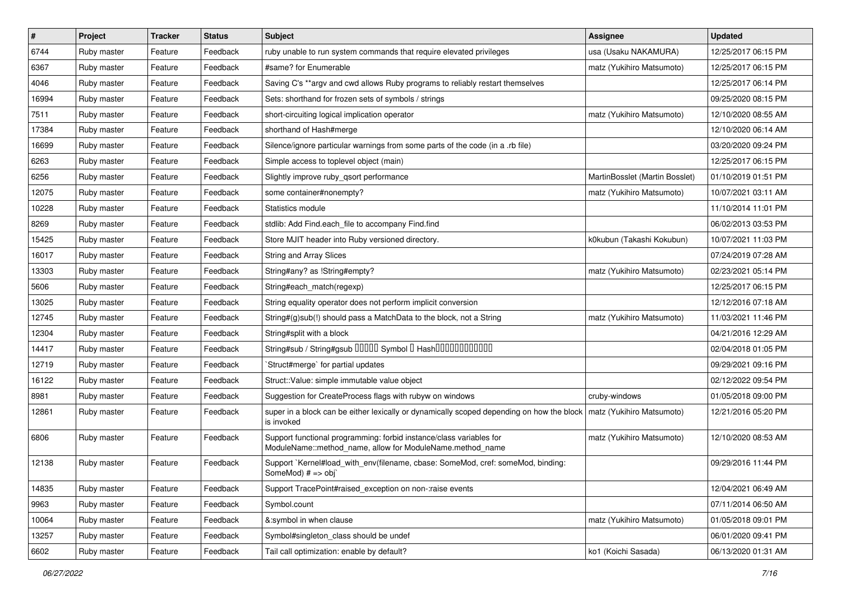| $\vert$ # | Project     | <b>Tracker</b> | <b>Status</b> | Subject                                                                                                                          | <b>Assignee</b>                | <b>Updated</b>      |
|-----------|-------------|----------------|---------------|----------------------------------------------------------------------------------------------------------------------------------|--------------------------------|---------------------|
| 6744      | Ruby master | Feature        | Feedback      | ruby unable to run system commands that require elevated privileges                                                              | usa (Usaku NAKAMURA)           | 12/25/2017 06:15 PM |
| 6367      | Ruby master | Feature        | Feedback      | #same? for Enumerable                                                                                                            | matz (Yukihiro Matsumoto)      | 12/25/2017 06:15 PM |
| 4046      | Ruby master | Feature        | Feedback      | Saving C's **argv and cwd allows Ruby programs to reliably restart themselves                                                    |                                | 12/25/2017 06:14 PM |
| 16994     | Ruby master | Feature        | Feedback      | Sets: shorthand for frozen sets of symbols / strings                                                                             |                                | 09/25/2020 08:15 PM |
| 7511      | Ruby master | Feature        | Feedback      | short-circuiting logical implication operator                                                                                    | matz (Yukihiro Matsumoto)      | 12/10/2020 08:55 AM |
| 17384     | Ruby master | Feature        | Feedback      | shorthand of Hash#merge                                                                                                          |                                | 12/10/2020 06:14 AM |
| 16699     | Ruby master | Feature        | Feedback      | Silence/ignore particular warnings from some parts of the code (in a .rb file)                                                   |                                | 03/20/2020 09:24 PM |
| 6263      | Ruby master | Feature        | Feedback      | Simple access to toplevel object (main)                                                                                          |                                | 12/25/2017 06:15 PM |
| 6256      | Ruby master | Feature        | Feedback      | Slightly improve ruby_qsort performance                                                                                          | MartinBosslet (Martin Bosslet) | 01/10/2019 01:51 PM |
| 12075     | Ruby master | Feature        | Feedback      | some container#nonempty?                                                                                                         | matz (Yukihiro Matsumoto)      | 10/07/2021 03:11 AM |
| 10228     | Ruby master | Feature        | Feedback      | Statistics module                                                                                                                |                                | 11/10/2014 11:01 PM |
| 8269      | Ruby master | Feature        | Feedback      | stdlib: Add Find.each file to accompany Find.find                                                                                |                                | 06/02/2013 03:53 PM |
| 15425     | Ruby master | Feature        | Feedback      | Store MJIT header into Ruby versioned directory.                                                                                 | k0kubun (Takashi Kokubun)      | 10/07/2021 11:03 PM |
| 16017     | Ruby master | Feature        | Feedback      | String and Array Slices                                                                                                          |                                | 07/24/2019 07:28 AM |
| 13303     | Ruby master | Feature        | Feedback      | String#any? as !String#empty?                                                                                                    | matz (Yukihiro Matsumoto)      | 02/23/2021 05:14 PM |
| 5606      | Ruby master | Feature        | Feedback      | String#each_match(regexp)                                                                                                        |                                | 12/25/2017 06:15 PM |
| 13025     | Ruby master | Feature        | Feedback      | String equality operator does not perform implicit conversion                                                                    |                                | 12/12/2016 07:18 AM |
| 12745     | Ruby master | Feature        | Feedback      | String#(g)sub(!) should pass a MatchData to the block, not a String                                                              | matz (Yukihiro Matsumoto)      | 11/03/2021 11:46 PM |
| 12304     | Ruby master | Feature        | Feedback      | String#split with a block                                                                                                        |                                | 04/21/2016 12:29 AM |
| 14417     | Ruby master | Feature        | Feedback      | String#sub / String#gsub 00000 Symbol 0 Hash000000000000                                                                         |                                | 02/04/2018 01:05 PM |
| 12719     | Ruby master | Feature        | Feedback      | 'Struct#merge' for partial updates                                                                                               |                                | 09/29/2021 09:16 PM |
| 16122     | Ruby master | Feature        | Feedback      | Struct::Value: simple immutable value object                                                                                     |                                | 02/12/2022 09:54 PM |
| 8981      | Ruby master | Feature        | Feedback      | Suggestion for CreateProcess flags with rubyw on windows                                                                         | cruby-windows                  | 01/05/2018 09:00 PM |
| 12861     | Ruby master | Feature        | Feedback      | super in a block can be either lexically or dynamically scoped depending on how the block<br>is invoked                          | matz (Yukihiro Matsumoto)      | 12/21/2016 05:20 PM |
| 6806      | Ruby master | Feature        | Feedback      | Support functional programming: forbid instance/class variables for<br>ModuleName::method_name, allow for ModuleName.method_name | matz (Yukihiro Matsumoto)      | 12/10/2020 08:53 AM |
| 12138     | Ruby master | Feature        | Feedback      | Support `Kernel#load_with_env(filename, cbase: SomeMod, cref: someMod, binding:<br>SomeMod) # => obj`                            |                                | 09/29/2016 11:44 PM |
| 14835     | Ruby master | Feature        | Feedback      | Support TracePoint#raised exception on non-:raise events                                                                         |                                | 12/04/2021 06:49 AM |
| 9963      | Ruby master | Feature        | Feedback      | Symbol.count                                                                                                                     |                                | 07/11/2014 06:50 AM |
| 10064     | Ruby master | Feature        | Feedback      | &:symbol in when clause                                                                                                          | matz (Yukihiro Matsumoto)      | 01/05/2018 09:01 PM |
| 13257     | Ruby master | Feature        | Feedback      | Symbol#singleton_class should be undef                                                                                           |                                | 06/01/2020 09:41 PM |
| 6602      | Ruby master | Feature        | Feedback      | Tail call optimization: enable by default?                                                                                       | ko1 (Koichi Sasada)            | 06/13/2020 01:31 AM |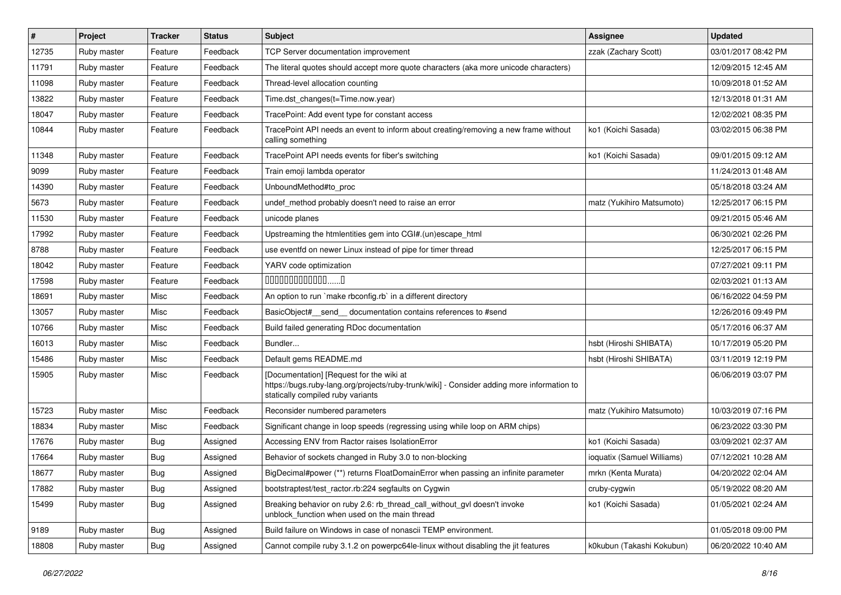| #     | Project     | <b>Tracker</b> | <b>Status</b> | Subject                                                                                                                                                                     | <b>Assignee</b>            | <b>Updated</b>      |
|-------|-------------|----------------|---------------|-----------------------------------------------------------------------------------------------------------------------------------------------------------------------------|----------------------------|---------------------|
| 12735 | Ruby master | Feature        | Feedback      | <b>TCP Server documentation improvement</b>                                                                                                                                 | zzak (Zachary Scott)       | 03/01/2017 08:42 PM |
| 11791 | Ruby master | Feature        | Feedback      | The literal quotes should accept more quote characters (aka more unicode characters)                                                                                        |                            | 12/09/2015 12:45 AM |
| 11098 | Ruby master | Feature        | Feedback      | Thread-level allocation counting                                                                                                                                            |                            | 10/09/2018 01:52 AM |
| 13822 | Ruby master | Feature        | Feedback      | Time.dst_changes(t=Time.now.year)                                                                                                                                           |                            | 12/13/2018 01:31 AM |
| 18047 | Ruby master | Feature        | Feedback      | TracePoint: Add event type for constant access                                                                                                                              |                            | 12/02/2021 08:35 PM |
| 10844 | Ruby master | Feature        | Feedback      | TracePoint API needs an event to inform about creating/removing a new frame without<br>calling something                                                                    | ko1 (Koichi Sasada)        | 03/02/2015 06:38 PM |
| 11348 | Ruby master | Feature        | Feedback      | TracePoint API needs events for fiber's switching                                                                                                                           | ko1 (Koichi Sasada)        | 09/01/2015 09:12 AM |
| 9099  | Ruby master | Feature        | Feedback      | Train emoji lambda operator                                                                                                                                                 |                            | 11/24/2013 01:48 AM |
| 14390 | Ruby master | Feature        | Feedback      | UnboundMethod#to_proc                                                                                                                                                       |                            | 05/18/2018 03:24 AM |
| 5673  | Ruby master | Feature        | Feedback      | undef_method probably doesn't need to raise an error                                                                                                                        | matz (Yukihiro Matsumoto)  | 12/25/2017 06:15 PM |
| 11530 | Ruby master | Feature        | Feedback      | unicode planes                                                                                                                                                              |                            | 09/21/2015 05:46 AM |
| 17992 | Ruby master | Feature        | Feedback      | Upstreaming the htmlentities gem into CGI#.(un)escape_html                                                                                                                  |                            | 06/30/2021 02:26 PM |
| 8788  | Ruby master | Feature        | Feedback      | use eventfd on newer Linux instead of pipe for timer thread                                                                                                                 |                            | 12/25/2017 06:15 PM |
| 18042 | Ruby master | Feature        | Feedback      | YARV code optimization                                                                                                                                                      |                            | 07/27/2021 09:11 PM |
| 17598 | Ruby master | Feature        | Feedback      | $0000000000000010$                                                                                                                                                          |                            | 02/03/2021 01:13 AM |
| 18691 | Ruby master | Misc           | Feedback      | An option to run `make rbconfig.rb` in a different directory                                                                                                                |                            | 06/16/2022 04:59 PM |
| 13057 | Ruby master | Misc           | Feedback      | BasicObject# send documentation contains references to #send                                                                                                                |                            | 12/26/2016 09:49 PM |
| 10766 | Ruby master | Misc           | Feedback      | Build failed generating RDoc documentation                                                                                                                                  |                            | 05/17/2016 06:37 AM |
| 16013 | Ruby master | Misc           | Feedback      | Bundler                                                                                                                                                                     | hsbt (Hiroshi SHIBATA)     | 10/17/2019 05:20 PM |
| 15486 | Ruby master | Misc           | Feedback      | Default gems README.md                                                                                                                                                      | hsbt (Hiroshi SHIBATA)     | 03/11/2019 12:19 PM |
| 15905 | Ruby master | Misc           | Feedback      | [Documentation] [Request for the wiki at<br>https://bugs.ruby-lang.org/projects/ruby-trunk/wiki] - Consider adding more information to<br>statically compiled ruby variants |                            | 06/06/2019 03:07 PM |
| 15723 | Ruby master | Misc           | Feedback      | Reconsider numbered parameters                                                                                                                                              | matz (Yukihiro Matsumoto)  | 10/03/2019 07:16 PM |
| 18834 | Ruby master | Misc           | Feedback      | Significant change in loop speeds (regressing using while loop on ARM chips)                                                                                                |                            | 06/23/2022 03:30 PM |
| 17676 | Ruby master | <b>Bug</b>     | Assigned      | Accessing ENV from Ractor raises IsolationError                                                                                                                             | ko1 (Koichi Sasada)        | 03/09/2021 02:37 AM |
| 17664 | Ruby master | Bug            | Assigned      | Behavior of sockets changed in Ruby 3.0 to non-blocking                                                                                                                     | ioquatix (Samuel Williams) | 07/12/2021 10:28 AM |
| 18677 | Ruby master | Bug            | Assigned      | BigDecimal#power (**) returns FloatDomainError when passing an infinite parameter                                                                                           | mrkn (Kenta Murata)        | 04/20/2022 02:04 AM |
| 17882 | Ruby master | Bug            | Assigned      | bootstraptest/test ractor.rb:224 segfaults on Cygwin                                                                                                                        | cruby-cygwin               | 05/19/2022 08:20 AM |
| 15499 | Ruby master | <b>Bug</b>     | Assigned      | Breaking behavior on ruby 2.6: rb_thread_call_without_gvl doesn't invoke<br>unblock_function when used on the main thread                                                   | ko1 (Koichi Sasada)        | 01/05/2021 02:24 AM |
| 9189  | Ruby master | Bug            | Assigned      | Build failure on Windows in case of nonascii TEMP environment.                                                                                                              |                            | 01/05/2018 09:00 PM |
| 18808 | Ruby master | <b>Bug</b>     | Assigned      | Cannot compile ruby 3.1.2 on powerpc64le-linux without disabling the jit features                                                                                           | k0kubun (Takashi Kokubun)  | 06/20/2022 10:40 AM |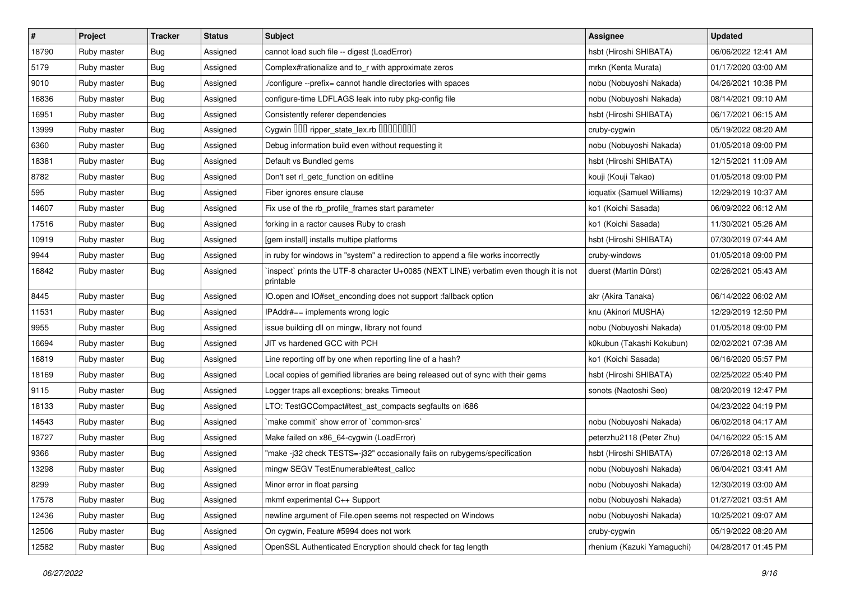| $\vert$ # | Project     | <b>Tracker</b> | <b>Status</b> | <b>Subject</b>                                                                                     | <b>Assignee</b>            | <b>Updated</b>      |
|-----------|-------------|----------------|---------------|----------------------------------------------------------------------------------------------------|----------------------------|---------------------|
| 18790     | Ruby master | Bug            | Assigned      | cannot load such file -- digest (LoadError)                                                        | hsbt (Hiroshi SHIBATA)     | 06/06/2022 12:41 AM |
| 5179      | Ruby master | <b>Bug</b>     | Assigned      | Complex#rationalize and to_r with approximate zeros                                                | mrkn (Kenta Murata)        | 01/17/2020 03:00 AM |
| 9010      | Ruby master | <b>Bug</b>     | Assigned      | /configure --prefix= cannot handle directories with spaces                                         | nobu (Nobuyoshi Nakada)    | 04/26/2021 10:38 PM |
| 16836     | Ruby master | <b>Bug</b>     | Assigned      | configure-time LDFLAGS leak into ruby pkg-config file                                              | nobu (Nobuyoshi Nakada)    | 08/14/2021 09:10 AM |
| 16951     | Ruby master | <b>Bug</b>     | Assigned      | Consistently referer dependencies                                                                  | hsbt (Hiroshi SHIBATA)     | 06/17/2021 06:15 AM |
| 13999     | Ruby master | <b>Bug</b>     | Assigned      | Cygwin DDD ripper state lex.rb DDDDDDDD                                                            | cruby-cygwin               | 05/19/2022 08:20 AM |
| 6360      | Ruby master | <b>Bug</b>     | Assigned      | Debug information build even without requesting it                                                 | nobu (Nobuyoshi Nakada)    | 01/05/2018 09:00 PM |
| 18381     | Ruby master | <b>Bug</b>     | Assigned      | Default vs Bundled gems                                                                            | hsbt (Hiroshi SHIBATA)     | 12/15/2021 11:09 AM |
| 8782      | Ruby master | <b>Bug</b>     | Assigned      | Don't set rl_getc_function on editline                                                             | kouji (Kouji Takao)        | 01/05/2018 09:00 PM |
| 595       | Ruby master | Bug            | Assigned      | Fiber ignores ensure clause                                                                        | ioquatix (Samuel Williams) | 12/29/2019 10:37 AM |
| 14607     | Ruby master | <b>Bug</b>     | Assigned      | Fix use of the rb_profile_frames start parameter                                                   | ko1 (Koichi Sasada)        | 06/09/2022 06:12 AM |
| 17516     | Ruby master | <b>Bug</b>     | Assigned      | forking in a ractor causes Ruby to crash                                                           | ko1 (Koichi Sasada)        | 11/30/2021 05:26 AM |
| 10919     | Ruby master | <b>Bug</b>     | Assigned      | [gem install] installs multipe platforms                                                           | hsbt (Hiroshi SHIBATA)     | 07/30/2019 07:44 AM |
| 9944      | Ruby master | <b>Bug</b>     | Assigned      | in ruby for windows in "system" a redirection to append a file works incorrectly                   | cruby-windows              | 01/05/2018 09:00 PM |
| 16842     | Ruby master | <b>Bug</b>     | Assigned      | inspect` prints the UTF-8 character U+0085 (NEXT LINE) verbatim even though it is not<br>printable | duerst (Martin Dürst)      | 02/26/2021 05:43 AM |
| 8445      | Ruby master | <b>Bug</b>     | Assigned      | IO.open and IO#set_enconding does not support :fallback option                                     | akr (Akira Tanaka)         | 06/14/2022 06:02 AM |
| 11531     | Ruby master | <b>Bug</b>     | Assigned      | IPAddr#== implements wrong logic                                                                   | knu (Akinori MUSHA)        | 12/29/2019 12:50 PM |
| 9955      | Ruby master | <b>Bug</b>     | Assigned      | issue building dll on mingw, library not found                                                     | nobu (Nobuyoshi Nakada)    | 01/05/2018 09:00 PM |
| 16694     | Ruby master | <b>Bug</b>     | Assigned      | JIT vs hardened GCC with PCH                                                                       | k0kubun (Takashi Kokubun)  | 02/02/2021 07:38 AM |
| 16819     | Ruby master | Bug            | Assigned      | Line reporting off by one when reporting line of a hash?                                           | ko1 (Koichi Sasada)        | 06/16/2020 05:57 PM |
| 18169     | Ruby master | <b>Bug</b>     | Assigned      | Local copies of gemified libraries are being released out of sync with their gems                  | hsbt (Hiroshi SHIBATA)     | 02/25/2022 05:40 PM |
| 9115      | Ruby master | <b>Bug</b>     | Assigned      | Logger traps all exceptions; breaks Timeout                                                        | sonots (Naotoshi Seo)      | 08/20/2019 12:47 PM |
| 18133     | Ruby master | <b>Bug</b>     | Assigned      | LTO: TestGCCompact#test_ast_compacts segfaults on i686                                             |                            | 04/23/2022 04:19 PM |
| 14543     | Ruby master | <b>Bug</b>     | Assigned      | 'make commit' show error of 'common-srcs'                                                          | nobu (Nobuyoshi Nakada)    | 06/02/2018 04:17 AM |
| 18727     | Ruby master | <b>Bug</b>     | Assigned      | Make failed on x86_64-cygwin (LoadError)                                                           | peterzhu2118 (Peter Zhu)   | 04/16/2022 05:15 AM |
| 9366      | Ruby master | <b>Bug</b>     | Assigned      | "make -j32 check TESTS=-j32" occasionally fails on rubygems/specification                          | hsbt (Hiroshi SHIBATA)     | 07/26/2018 02:13 AM |
| 13298     | Ruby master | <b>Bug</b>     | Assigned      | mingw SEGV TestEnumerable#test callcc                                                              | nobu (Nobuyoshi Nakada)    | 06/04/2021 03:41 AM |
| 8299      | Ruby master | <b>Bug</b>     | Assigned      | Minor error in float parsing                                                                       | nobu (Nobuyoshi Nakada)    | 12/30/2019 03:00 AM |
| 17578     | Ruby master | <b>Bug</b>     | Assigned      | mkmf experimental C++ Support                                                                      | nobu (Nobuyoshi Nakada)    | 01/27/2021 03:51 AM |
| 12436     | Ruby master | <b>Bug</b>     | Assigned      | newline argument of File.open seems not respected on Windows                                       | nobu (Nobuyoshi Nakada)    | 10/25/2021 09:07 AM |
| 12506     | Ruby master | Bug            | Assigned      | On cygwin, Feature #5994 does not work                                                             | cruby-cygwin               | 05/19/2022 08:20 AM |
| 12582     | Ruby master | <b>Bug</b>     | Assigned      | OpenSSL Authenticated Encryption should check for tag length                                       | rhenium (Kazuki Yamaguchi) | 04/28/2017 01:45 PM |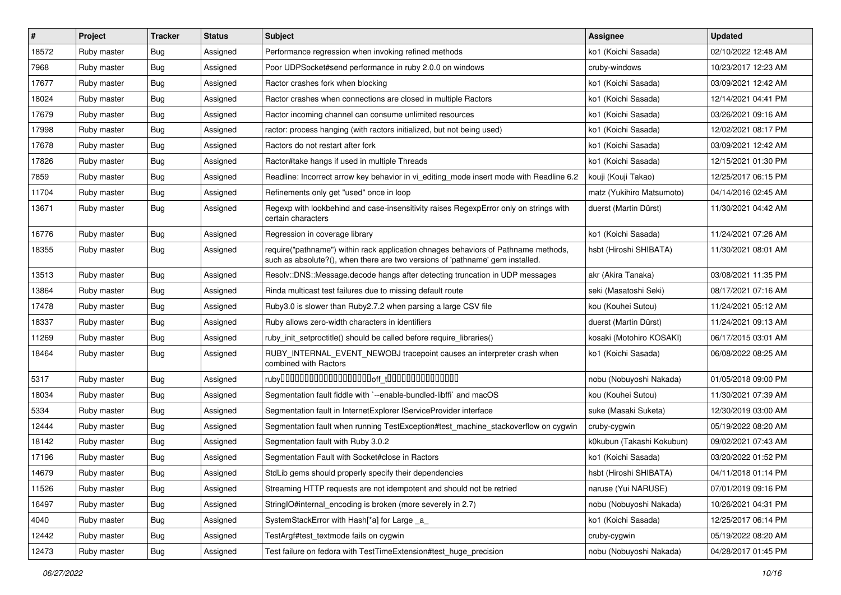| $\vert$ # | Project     | <b>Tracker</b> | <b>Status</b> | Subject                                                                                                                                                             | <b>Assignee</b>           | <b>Updated</b>      |
|-----------|-------------|----------------|---------------|---------------------------------------------------------------------------------------------------------------------------------------------------------------------|---------------------------|---------------------|
| 18572     | Ruby master | <b>Bug</b>     | Assigned      | Performance regression when invoking refined methods                                                                                                                | ko1 (Koichi Sasada)       | 02/10/2022 12:48 AM |
| 7968      | Ruby master | Bug            | Assigned      | Poor UDPSocket#send performance in ruby 2.0.0 on windows                                                                                                            | cruby-windows             | 10/23/2017 12:23 AM |
| 17677     | Ruby master | <b>Bug</b>     | Assigned      | Ractor crashes fork when blocking                                                                                                                                   | ko1 (Koichi Sasada)       | 03/09/2021 12:42 AM |
| 18024     | Ruby master | <b>Bug</b>     | Assigned      | Ractor crashes when connections are closed in multiple Ractors                                                                                                      | ko1 (Koichi Sasada)       | 12/14/2021 04:41 PM |
| 17679     | Ruby master | Bug            | Assigned      | Ractor incoming channel can consume unlimited resources                                                                                                             | ko1 (Koichi Sasada)       | 03/26/2021 09:16 AM |
| 17998     | Ruby master | <b>Bug</b>     | Assigned      | ractor: process hanging (with ractors initialized, but not being used)                                                                                              | ko1 (Koichi Sasada)       | 12/02/2021 08:17 PM |
| 17678     | Ruby master | Bug            | Assigned      | Ractors do not restart after fork                                                                                                                                   | ko1 (Koichi Sasada)       | 03/09/2021 12:42 AM |
| 17826     | Ruby master | <b>Bug</b>     | Assigned      | Ractor#take hangs if used in multiple Threads                                                                                                                       | ko1 (Koichi Sasada)       | 12/15/2021 01:30 PM |
| 7859      | Ruby master | <b>Bug</b>     | Assigned      | Readline: Incorrect arrow key behavior in vi_editing_mode insert mode with Readline 6.2                                                                             | kouji (Kouji Takao)       | 12/25/2017 06:15 PM |
| 11704     | Ruby master | <b>Bug</b>     | Assigned      | Refinements only get "used" once in loop                                                                                                                            | matz (Yukihiro Matsumoto) | 04/14/2016 02:45 AM |
| 13671     | Ruby master | <b>Bug</b>     | Assigned      | Regexp with lookbehind and case-insensitivity raises RegexpError only on strings with<br>certain characters                                                         | duerst (Martin Dürst)     | 11/30/2021 04:42 AM |
| 16776     | Ruby master | <b>Bug</b>     | Assigned      | Regression in coverage library                                                                                                                                      | ko1 (Koichi Sasada)       | 11/24/2021 07:26 AM |
| 18355     | Ruby master | <b>Bug</b>     | Assigned      | require("pathname") within rack application chnages behaviors of Pathname methods,<br>such as absolute?(), when there are two versions of 'pathname' gem installed. | hsbt (Hiroshi SHIBATA)    | 11/30/2021 08:01 AM |
| 13513     | Ruby master | Bug            | Assigned      | Resolv::DNS::Message.decode hangs after detecting truncation in UDP messages                                                                                        | akr (Akira Tanaka)        | 03/08/2021 11:35 PM |
| 13864     | Ruby master | <b>Bug</b>     | Assigned      | Rinda multicast test failures due to missing default route                                                                                                          | seki (Masatoshi Seki)     | 08/17/2021 07:16 AM |
| 17478     | Ruby master | Bug            | Assigned      | Ruby3.0 is slower than Ruby2.7.2 when parsing a large CSV file                                                                                                      | kou (Kouhei Sutou)        | 11/24/2021 05:12 AM |
| 18337     | Ruby master | Bug            | Assigned      | Ruby allows zero-width characters in identifiers                                                                                                                    | duerst (Martin Dürst)     | 11/24/2021 09:13 AM |
| 11269     | Ruby master | Bug            | Assigned      | ruby init setproctitle() should be called before require libraries()                                                                                                | kosaki (Motohiro KOSAKI)  | 06/17/2015 03:01 AM |
| 18464     | Ruby master | Bug            | Assigned      | RUBY_INTERNAL_EVENT_NEWOBJ tracepoint causes an interpreter crash when<br>combined with Ractors                                                                     | ko1 (Koichi Sasada)       | 06/08/2022 08:25 AM |
| 5317      | Ruby master | Bug            | Assigned      |                                                                                                                                                                     | nobu (Nobuyoshi Nakada)   | 01/05/2018 09:00 PM |
| 18034     | Ruby master | Bug            | Assigned      | Segmentation fault fiddle with `--enable-bundled-libffi` and macOS                                                                                                  | kou (Kouhei Sutou)        | 11/30/2021 07:39 AM |
| 5334      | Ruby master | <b>Bug</b>     | Assigned      | Segmentation fault in InternetExplorer IServiceProvider interface                                                                                                   | suke (Masaki Suketa)      | 12/30/2019 03:00 AM |
| 12444     | Ruby master | Bug            | Assigned      | Segmentation fault when running TestException#test_machine_stackoverflow on cygwin                                                                                  | cruby-cygwin              | 05/19/2022 08:20 AM |
| 18142     | Ruby master | <b>Bug</b>     | Assigned      | Segmentation fault with Ruby 3.0.2                                                                                                                                  | k0kubun (Takashi Kokubun) | 09/02/2021 07:43 AM |
| 17196     | Ruby master | Bug            | Assigned      | Segmentation Fault with Socket#close in Ractors                                                                                                                     | ko1 (Koichi Sasada)       | 03/20/2022 01:52 PM |
| 14679     | Ruby master | Bug            | Assigned      | StdLib gems should properly specify their dependencies                                                                                                              | hsbt (Hiroshi SHIBATA)    | 04/11/2018 01:14 PM |
| 11526     | Ruby master | <b>Bug</b>     | Assigned      | Streaming HTTP requests are not idempotent and should not be retried                                                                                                | naruse (Yui NARUSE)       | 07/01/2019 09:16 PM |
| 16497     | Ruby master | <b>Bug</b>     | Assigned      | StringIO#internal_encoding is broken (more severely in 2.7)                                                                                                         | nobu (Nobuyoshi Nakada)   | 10/26/2021 04:31 PM |
| 4040      | Ruby master | Bug            | Assigned      | SystemStackError with Hash[*a] for Large _a_                                                                                                                        | ko1 (Koichi Sasada)       | 12/25/2017 06:14 PM |
| 12442     | Ruby master | Bug            | Assigned      | TestArgf#test_textmode fails on cygwin                                                                                                                              | cruby-cygwin              | 05/19/2022 08:20 AM |
| 12473     | Ruby master | Bug            | Assigned      | Test failure on fedora with TestTimeExtension#test_huge_precision                                                                                                   | nobu (Nobuyoshi Nakada)   | 04/28/2017 01:45 PM |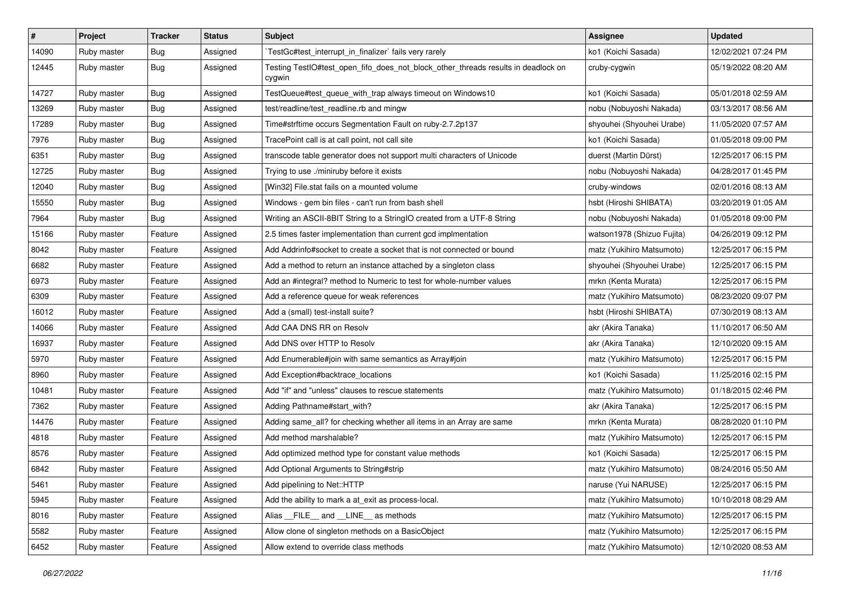| $\vert$ # | Project     | <b>Tracker</b> | <b>Status</b> | Subject                                                                                     | <b>Assignee</b>            | <b>Updated</b>      |
|-----------|-------------|----------------|---------------|---------------------------------------------------------------------------------------------|----------------------------|---------------------|
| 14090     | Ruby master | Bug            | Assigned      | TestGc#test_interrupt_in_finalizer` fails very rarely                                       | ko1 (Koichi Sasada)        | 12/02/2021 07:24 PM |
| 12445     | Ruby master | Bug            | Assigned      | Testing TestIO#test_open_fifo_does_not_block_other_threads results in deadlock on<br>cygwin | cruby-cygwin               | 05/19/2022 08:20 AM |
| 14727     | Ruby master | <b>Bug</b>     | Assigned      | TestQueue#test_queue_with_trap always timeout on Windows10                                  | ko1 (Koichi Sasada)        | 05/01/2018 02:59 AM |
| 13269     | Ruby master | <b>Bug</b>     | Assigned      | test/readline/test_readline.rb and mingw                                                    | nobu (Nobuyoshi Nakada)    | 03/13/2017 08:56 AM |
| 17289     | Ruby master | Bug            | Assigned      | Time#strftime occurs Segmentation Fault on ruby-2.7.2p137                                   | shyouhei (Shyouhei Urabe)  | 11/05/2020 07:57 AM |
| 7976      | Ruby master | <b>Bug</b>     | Assigned      | TracePoint call is at call point, not call site                                             | ko1 (Koichi Sasada)        | 01/05/2018 09:00 PM |
| 6351      | Ruby master | Bug            | Assigned      | transcode table generator does not support multi characters of Unicode                      | duerst (Martin Dürst)      | 12/25/2017 06:15 PM |
| 12725     | Ruby master | <b>Bug</b>     | Assigned      | Trying to use ./miniruby before it exists                                                   | nobu (Nobuyoshi Nakada)    | 04/28/2017 01:45 PM |
| 12040     | Ruby master | Bug            | Assigned      | [Win32] File.stat fails on a mounted volume                                                 | cruby-windows              | 02/01/2016 08:13 AM |
| 15550     | Ruby master | Bug            | Assigned      | Windows - gem bin files - can't run from bash shell                                         | hsbt (Hiroshi SHIBATA)     | 03/20/2019 01:05 AM |
| 7964      | Ruby master | Bug            | Assigned      | Writing an ASCII-8BIT String to a StringIO created from a UTF-8 String                      | nobu (Nobuyoshi Nakada)    | 01/05/2018 09:00 PM |
| 15166     | Ruby master | Feature        | Assigned      | 2.5 times faster implementation than current gcd implmentation                              | watson1978 (Shizuo Fujita) | 04/26/2019 09:12 PM |
| 8042      | Ruby master | Feature        | Assigned      | Add Addrinfo#socket to create a socket that is not connected or bound                       | matz (Yukihiro Matsumoto)  | 12/25/2017 06:15 PM |
| 6682      | Ruby master | Feature        | Assigned      | Add a method to return an instance attached by a singleton class                            | shyouhei (Shyouhei Urabe)  | 12/25/2017 06:15 PM |
| 6973      | Ruby master | Feature        | Assigned      | Add an #integral? method to Numeric to test for whole-number values                         | mrkn (Kenta Murata)        | 12/25/2017 06:15 PM |
| 6309      | Ruby master | Feature        | Assigned      | Add a reference queue for weak references                                                   | matz (Yukihiro Matsumoto)  | 08/23/2020 09:07 PM |
| 16012     | Ruby master | Feature        | Assigned      | Add a (small) test-install suite?                                                           | hsbt (Hiroshi SHIBATA)     | 07/30/2019 08:13 AM |
| 14066     | Ruby master | Feature        | Assigned      | Add CAA DNS RR on Resolv                                                                    | akr (Akira Tanaka)         | 11/10/2017 06:50 AM |
| 16937     | Ruby master | Feature        | Assigned      | Add DNS over HTTP to Resolv                                                                 | akr (Akira Tanaka)         | 12/10/2020 09:15 AM |
| 5970      | Ruby master | Feature        | Assigned      | Add Enumerable#join with same semantics as Array#join                                       | matz (Yukihiro Matsumoto)  | 12/25/2017 06:15 PM |
| 8960      | Ruby master | Feature        | Assigned      | Add Exception#backtrace_locations                                                           | ko1 (Koichi Sasada)        | 11/25/2016 02:15 PM |
| 10481     | Ruby master | Feature        | Assigned      | Add "if" and "unless" clauses to rescue statements                                          | matz (Yukihiro Matsumoto)  | 01/18/2015 02:46 PM |
| 7362      | Ruby master | Feature        | Assigned      | Adding Pathname#start_with?                                                                 | akr (Akira Tanaka)         | 12/25/2017 06:15 PM |
| 14476     | Ruby master | Feature        | Assigned      | Adding same_all? for checking whether all items in an Array are same                        | mrkn (Kenta Murata)        | 08/28/2020 01:10 PM |
| 4818      | Ruby master | Feature        | Assigned      | Add method marshalable?                                                                     | matz (Yukihiro Matsumoto)  | 12/25/2017 06:15 PM |
| 8576      | Ruby master | Feature        | Assigned      | Add optimized method type for constant value methods                                        | ko1 (Koichi Sasada)        | 12/25/2017 06:15 PM |
| 6842      | Ruby master | Feature        | Assigned      | Add Optional Arguments to String#strip                                                      | matz (Yukihiro Matsumoto)  | 08/24/2016 05:50 AM |
| 5461      | Ruby master | Feature        | Assigned      | Add pipelining to Net::HTTP                                                                 | naruse (Yui NARUSE)        | 12/25/2017 06:15 PM |
| 5945      | Ruby master | Feature        | Assigned      | Add the ability to mark a at_exit as process-local.                                         | matz (Yukihiro Matsumoto)  | 10/10/2018 08:29 AM |
| 8016      | Ruby master | Feature        | Assigned      | Alias FILE and LINE as methods                                                              | matz (Yukihiro Matsumoto)  | 12/25/2017 06:15 PM |
| 5582      | Ruby master | Feature        | Assigned      | Allow clone of singleton methods on a BasicObject                                           | matz (Yukihiro Matsumoto)  | 12/25/2017 06:15 PM |
| 6452      | Ruby master | Feature        | Assigned      | Allow extend to override class methods                                                      | matz (Yukihiro Matsumoto)  | 12/10/2020 08:53 AM |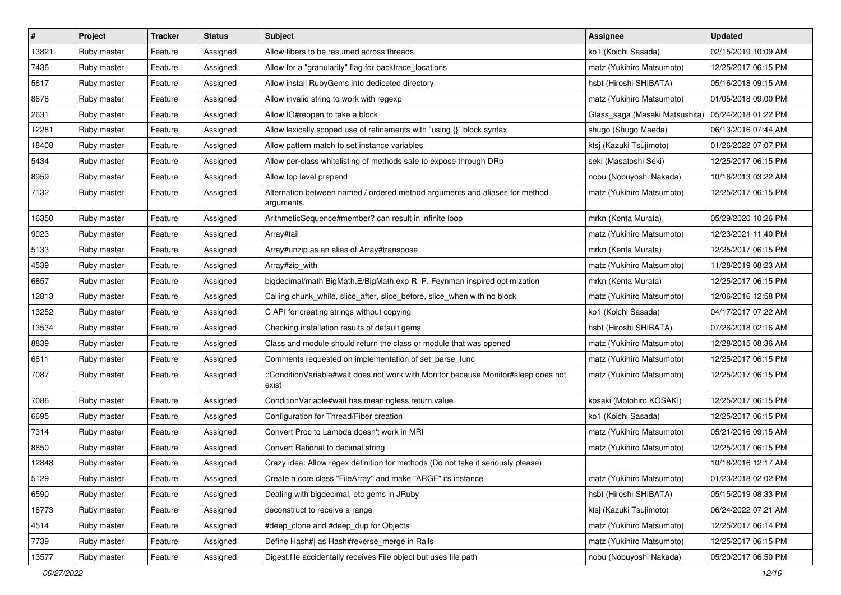| $\vert$ # | Project     | <b>Tracker</b> | <b>Status</b> | Subject                                                                                     | <b>Assignee</b>                | <b>Updated</b>      |
|-----------|-------------|----------------|---------------|---------------------------------------------------------------------------------------------|--------------------------------|---------------------|
| 13821     | Ruby master | Feature        | Assigned      | Allow fibers to be resumed across threads                                                   | ko1 (Koichi Sasada)            | 02/15/2019 10:09 AM |
| 7436      | Ruby master | Feature        | Assigned      | Allow for a "granularity" flag for backtrace_locations                                      | matz (Yukihiro Matsumoto)      | 12/25/2017 06:15 PM |
| 5617      | Ruby master | Feature        | Assigned      | Allow install RubyGems into dediceted directory                                             | hsbt (Hiroshi SHIBATA)         | 05/16/2018 09:15 AM |
| 8678      | Ruby master | Feature        | Assigned      | Allow invalid string to work with regexp                                                    | matz (Yukihiro Matsumoto)      | 01/05/2018 09:00 PM |
| 2631      | Ruby master | Feature        | Assigned      | Allow IO#reopen to take a block                                                             | Glass_saga (Masaki Matsushita) | 05/24/2018 01:22 PM |
| 12281     | Ruby master | Feature        | Assigned      | Allow lexically scoped use of refinements with `using {}` block syntax                      | shugo (Shugo Maeda)            | 06/13/2016 07:44 AM |
| 18408     | Ruby master | Feature        | Assigned      | Allow pattern match to set instance variables                                               | ktsj (Kazuki Tsujimoto)        | 01/26/2022 07:07 PM |
| 5434      | Ruby master | Feature        | Assigned      | Allow per-class whitelisting of methods safe to expose through DRb                          | seki (Masatoshi Seki)          | 12/25/2017 06:15 PM |
| 8959      | Ruby master | Feature        | Assigned      | Allow top level prepend                                                                     | nobu (Nobuyoshi Nakada)        | 10/16/2013 03:22 AM |
| 7132      | Ruby master | Feature        | Assigned      | Alternation between named / ordered method arguments and aliases for method<br>arguments.   | matz (Yukihiro Matsumoto)      | 12/25/2017 06:15 PM |
| 16350     | Ruby master | Feature        | Assigned      | ArithmeticSequence#member? can result in infinite loop                                      | mrkn (Kenta Murata)            | 05/29/2020 10:26 PM |
| 9023      | Ruby master | Feature        | Assigned      | Array#tail                                                                                  | matz (Yukihiro Matsumoto)      | 12/23/2021 11:40 PM |
| 5133      | Ruby master | Feature        | Assigned      | Array#unzip as an alias of Array#transpose                                                  | mrkn (Kenta Murata)            | 12/25/2017 06:15 PM |
| 4539      | Ruby master | Feature        | Assigned      | Array#zip_with                                                                              | matz (Yukihiro Matsumoto)      | 11/28/2019 08:23 AM |
| 6857      | Ruby master | Feature        | Assigned      | bigdecimal/math BigMath.E/BigMath.exp R. P. Feynman inspired optimization                   | mrkn (Kenta Murata)            | 12/25/2017 06:15 PM |
| 12813     | Ruby master | Feature        | Assigned      | Calling chunk_while, slice_after, slice_before, slice_when with no block                    | matz (Yukihiro Matsumoto)      | 12/06/2016 12:58 PM |
| 13252     | Ruby master | Feature        | Assigned      | C API for creating strings without copying                                                  | ko1 (Koichi Sasada)            | 04/17/2017 07:22 AM |
| 13534     | Ruby master | Feature        | Assigned      | Checking installation results of default gems                                               | hsbt (Hiroshi SHIBATA)         | 07/26/2018 02:16 AM |
| 8839      | Ruby master | Feature        | Assigned      | Class and module should return the class or module that was opened                          | matz (Yukihiro Matsumoto)      | 12/28/2015 08:36 AM |
| 6611      | Ruby master | Feature        | Assigned      | Comments requested on implementation of set_parse_func                                      | matz (Yukihiro Matsumoto)      | 12/25/2017 06:15 PM |
| 7087      | Ruby master | Feature        | Assigned      | ::ConditionVariable#wait does not work with Monitor because Monitor#sleep does not<br>exist | matz (Yukihiro Matsumoto)      | 12/25/2017 06:15 PM |
| 7086      | Ruby master | Feature        | Assigned      | ConditionVariable#wait has meaningless return value                                         | kosaki (Motohiro KOSAKI)       | 12/25/2017 06:15 PM |
| 6695      | Ruby master | Feature        | Assigned      | Configuration for Thread/Fiber creation                                                     | ko1 (Koichi Sasada)            | 12/25/2017 06:15 PM |
| 7314      | Ruby master | Feature        | Assigned      | Convert Proc to Lambda doesn't work in MRI                                                  | matz (Yukihiro Matsumoto)      | 05/21/2016 09:15 AM |
| 8850      | Ruby master | Feature        | Assigned      | Convert Rational to decimal string                                                          | matz (Yukihiro Matsumoto)      | 12/25/2017 06:15 PM |
| 12848     | Ruby master | Feature        | Assigned      | Crazy idea: Allow regex definition for methods (Do not take it seriously please)            |                                | 10/18/2016 12:17 AM |
| 5129      | Ruby master | Feature        | Assigned      | Create a core class "FileArray" and make "ARGF" its instance                                | matz (Yukihiro Matsumoto)      | 01/23/2018 02:02 PM |
| 6590      | Ruby master | Feature        | Assigned      | Dealing with bigdecimal, etc gems in JRuby                                                  | hsbt (Hiroshi SHIBATA)         | 05/15/2019 08:33 PM |
| 18773     | Ruby master | Feature        | Assigned      | deconstruct to receive a range                                                              | ktsj (Kazuki Tsujimoto)        | 06/24/2022 07:21 AM |
| 4514      | Ruby master | Feature        | Assigned      | #deep_clone and #deep_dup for Objects                                                       | matz (Yukihiro Matsumoto)      | 12/25/2017 06:14 PM |
| 7739      | Ruby master | Feature        | Assigned      | Define Hash#  as Hash#reverse_merge in Rails                                                | matz (Yukihiro Matsumoto)      | 12/25/2017 06:15 PM |
| 13577     | Ruby master | Feature        | Assigned      | Digest.file accidentally receives File object but uses file path                            | nobu (Nobuyoshi Nakada)        | 05/20/2017 06:50 PM |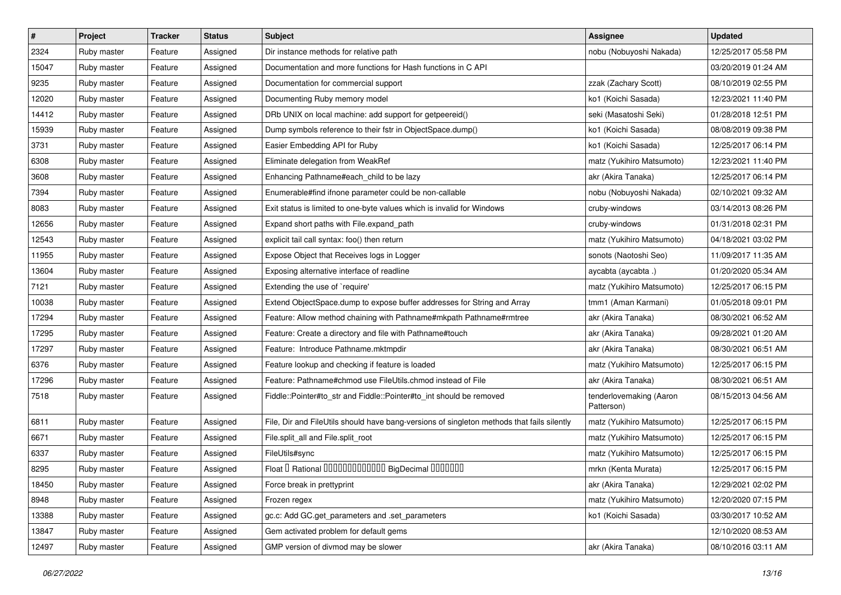| $\sharp$ | Project     | <b>Tracker</b> | <b>Status</b> | Subject                                                                                    | Assignee                              | <b>Updated</b>      |
|----------|-------------|----------------|---------------|--------------------------------------------------------------------------------------------|---------------------------------------|---------------------|
| 2324     | Ruby master | Feature        | Assigned      | Dir instance methods for relative path                                                     | nobu (Nobuyoshi Nakada)               | 12/25/2017 05:58 PM |
| 15047    | Ruby master | Feature        | Assigned      | Documentation and more functions for Hash functions in C API                               |                                       | 03/20/2019 01:24 AM |
| 9235     | Ruby master | Feature        | Assigned      | Documentation for commercial support                                                       | zzak (Zachary Scott)                  | 08/10/2019 02:55 PM |
| 12020    | Ruby master | Feature        | Assigned      | Documenting Ruby memory model                                                              | ko1 (Koichi Sasada)                   | 12/23/2021 11:40 PM |
| 14412    | Ruby master | Feature        | Assigned      | DRb UNIX on local machine: add support for getpeereid()                                    | seki (Masatoshi Seki)                 | 01/28/2018 12:51 PM |
| 15939    | Ruby master | Feature        | Assigned      | Dump symbols reference to their fstr in ObjectSpace.dump()                                 | ko1 (Koichi Sasada)                   | 08/08/2019 09:38 PM |
| 3731     | Ruby master | Feature        | Assigned      | Easier Embedding API for Ruby                                                              | ko1 (Koichi Sasada)                   | 12/25/2017 06:14 PM |
| 6308     | Ruby master | Feature        | Assigned      | Eliminate delegation from WeakRef                                                          | matz (Yukihiro Matsumoto)             | 12/23/2021 11:40 PM |
| 3608     | Ruby master | Feature        | Assigned      | Enhancing Pathname#each_child to be lazy                                                   | akr (Akira Tanaka)                    | 12/25/2017 06:14 PM |
| 7394     | Ruby master | Feature        | Assigned      | Enumerable#find ifnone parameter could be non-callable                                     | nobu (Nobuyoshi Nakada)               | 02/10/2021 09:32 AM |
| 8083     | Ruby master | Feature        | Assigned      | Exit status is limited to one-byte values which is invalid for Windows                     | cruby-windows                         | 03/14/2013 08:26 PM |
| 12656    | Ruby master | Feature        | Assigned      | Expand short paths with File.expand_path                                                   | cruby-windows                         | 01/31/2018 02:31 PM |
| 12543    | Ruby master | Feature        | Assigned      | explicit tail call syntax: foo() then return                                               | matz (Yukihiro Matsumoto)             | 04/18/2021 03:02 PM |
| 11955    | Ruby master | Feature        | Assigned      | Expose Object that Receives logs in Logger                                                 | sonots (Naotoshi Seo)                 | 11/09/2017 11:35 AM |
| 13604    | Ruby master | Feature        | Assigned      | Exposing alternative interface of readline                                                 | aycabta (aycabta .)                   | 01/20/2020 05:34 AM |
| 7121     | Ruby master | Feature        | Assigned      | Extending the use of `require'                                                             | matz (Yukihiro Matsumoto)             | 12/25/2017 06:15 PM |
| 10038    | Ruby master | Feature        | Assigned      | Extend ObjectSpace.dump to expose buffer addresses for String and Array                    | tmm1 (Aman Karmani)                   | 01/05/2018 09:01 PM |
| 17294    | Ruby master | Feature        | Assigned      | Feature: Allow method chaining with Pathname#mkpath Pathname#rmtree                        | akr (Akira Tanaka)                    | 08/30/2021 06:52 AM |
| 17295    | Ruby master | Feature        | Assigned      | Feature: Create a directory and file with Pathname#touch                                   | akr (Akira Tanaka)                    | 09/28/2021 01:20 AM |
| 17297    | Ruby master | Feature        | Assigned      | Feature: Introduce Pathname.mktmpdir                                                       | akr (Akira Tanaka)                    | 08/30/2021 06:51 AM |
| 6376     | Ruby master | Feature        | Assigned      | Feature lookup and checking if feature is loaded                                           | matz (Yukihiro Matsumoto)             | 12/25/2017 06:15 PM |
| 17296    | Ruby master | Feature        | Assigned      | Feature: Pathname#chmod use FileUtils.chmod instead of File                                | akr (Akira Tanaka)                    | 08/30/2021 06:51 AM |
| 7518     | Ruby master | Feature        | Assigned      | Fiddle::Pointer#to_str and Fiddle::Pointer#to_int should be removed                        | tenderlovemaking (Aaron<br>Patterson) | 08/15/2013 04:56 AM |
| 6811     | Ruby master | Feature        | Assigned      | File, Dir and FileUtils should have bang-versions of singleton methods that fails silently | matz (Yukihiro Matsumoto)             | 12/25/2017 06:15 PM |
| 6671     | Ruby master | Feature        | Assigned      | File.split_all and File.split_root                                                         | matz (Yukihiro Matsumoto)             | 12/25/2017 06:15 PM |
| 6337     | Ruby master | Feature        | Assigned      | FileUtils#sync                                                                             | matz (Yukihiro Matsumoto)             | 12/25/2017 06:15 PM |
| 8295     | Ruby master | Feature        | Assigned      | Float I Rational 0000000000000 BigDecimal 0000000                                          | mrkn (Kenta Murata)                   | 12/25/2017 06:15 PM |
| 18450    | Ruby master | Feature        | Assigned      | Force break in prettyprint                                                                 | akr (Akira Tanaka)                    | 12/29/2021 02:02 PM |
| 8948     | Ruby master | Feature        | Assigned      | Frozen regex                                                                               | matz (Yukihiro Matsumoto)             | 12/20/2020 07:15 PM |
| 13388    | Ruby master | Feature        | Assigned      | gc.c: Add GC.get_parameters and .set_parameters                                            | ko1 (Koichi Sasada)                   | 03/30/2017 10:52 AM |
| 13847    | Ruby master | Feature        | Assigned      | Gem activated problem for default gems                                                     |                                       | 12/10/2020 08:53 AM |
| 12497    | Ruby master | Feature        | Assigned      | GMP version of divmod may be slower                                                        | akr (Akira Tanaka)                    | 08/10/2016 03:11 AM |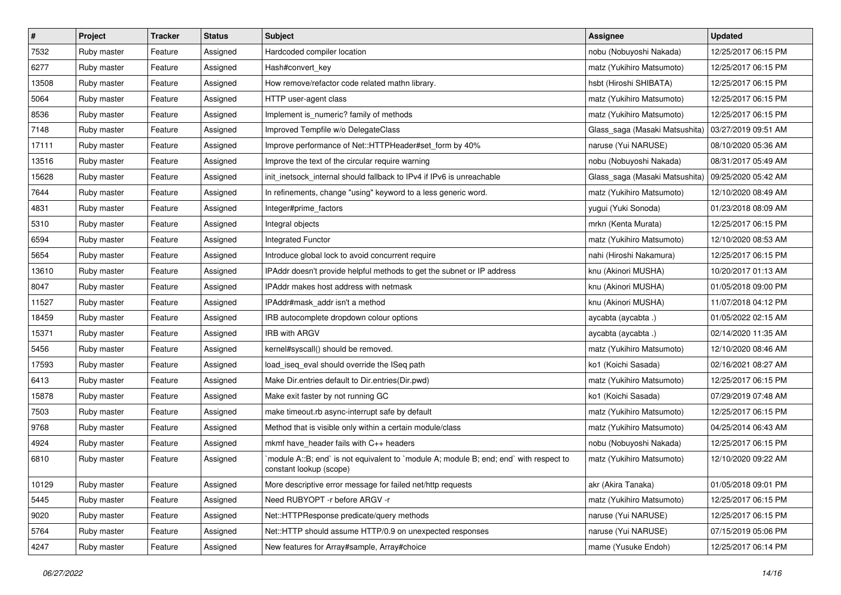| $\sharp$ | Project     | <b>Tracker</b> | <b>Status</b> | Subject                                                                                                          | <b>Assignee</b>                | <b>Updated</b>      |
|----------|-------------|----------------|---------------|------------------------------------------------------------------------------------------------------------------|--------------------------------|---------------------|
| 7532     | Ruby master | Feature        | Assigned      | Hardcoded compiler location                                                                                      | nobu (Nobuyoshi Nakada)        | 12/25/2017 06:15 PM |
| 6277     | Ruby master | Feature        | Assigned      | Hash#convert_key                                                                                                 | matz (Yukihiro Matsumoto)      | 12/25/2017 06:15 PM |
| 13508    | Ruby master | Feature        | Assigned      | How remove/refactor code related mathn library.                                                                  | hsbt (Hiroshi SHIBATA)         | 12/25/2017 06:15 PM |
| 5064     | Ruby master | Feature        | Assigned      | HTTP user-agent class                                                                                            | matz (Yukihiro Matsumoto)      | 12/25/2017 06:15 PM |
| 8536     | Ruby master | Feature        | Assigned      | Implement is_numeric? family of methods                                                                          | matz (Yukihiro Matsumoto)      | 12/25/2017 06:15 PM |
| 7148     | Ruby master | Feature        | Assigned      | Improved Tempfile w/o DelegateClass                                                                              | Glass_saga (Masaki Matsushita) | 03/27/2019 09:51 AM |
| 17111    | Ruby master | Feature        | Assigned      | Improve performance of Net::HTTPHeader#set_form by 40%                                                           | naruse (Yui NARUSE)            | 08/10/2020 05:36 AM |
| 13516    | Ruby master | Feature        | Assigned      | Improve the text of the circular require warning                                                                 | nobu (Nobuyoshi Nakada)        | 08/31/2017 05:49 AM |
| 15628    | Ruby master | Feature        | Assigned      | init_inetsock_internal should fallback to IPv4 if IPv6 is unreachable                                            | Glass_saga (Masaki Matsushita) | 09/25/2020 05:42 AM |
| 7644     | Ruby master | Feature        | Assigned      | In refinements, change "using" keyword to a less generic word.                                                   | matz (Yukihiro Matsumoto)      | 12/10/2020 08:49 AM |
| 4831     | Ruby master | Feature        | Assigned      | Integer#prime_factors                                                                                            | yugui (Yuki Sonoda)            | 01/23/2018 08:09 AM |
| 5310     | Ruby master | Feature        | Assigned      | Integral objects                                                                                                 | mrkn (Kenta Murata)            | 12/25/2017 06:15 PM |
| 6594     | Ruby master | Feature        | Assigned      | Integrated Functor                                                                                               | matz (Yukihiro Matsumoto)      | 12/10/2020 08:53 AM |
| 5654     | Ruby master | Feature        | Assigned      | Introduce global lock to avoid concurrent require                                                                | nahi (Hiroshi Nakamura)        | 12/25/2017 06:15 PM |
| 13610    | Ruby master | Feature        | Assigned      | IPAddr doesn't provide helpful methods to get the subnet or IP address                                           | knu (Akinori MUSHA)            | 10/20/2017 01:13 AM |
| 8047     | Ruby master | Feature        | Assigned      | IPAddr makes host address with netmask                                                                           | knu (Akinori MUSHA)            | 01/05/2018 09:00 PM |
| 11527    | Ruby master | Feature        | Assigned      | IPAddr#mask addr isn't a method                                                                                  | knu (Akinori MUSHA)            | 11/07/2018 04:12 PM |
| 18459    | Ruby master | Feature        | Assigned      | IRB autocomplete dropdown colour options                                                                         | aycabta (aycabta .)            | 01/05/2022 02:15 AM |
| 15371    | Ruby master | Feature        | Assigned      | <b>IRB with ARGV</b>                                                                                             | aycabta (aycabta.)             | 02/14/2020 11:35 AM |
| 5456     | Ruby master | Feature        | Assigned      | kernel#syscall() should be removed.                                                                              | matz (Yukihiro Matsumoto)      | 12/10/2020 08:46 AM |
| 17593    | Ruby master | Feature        | Assigned      | load_iseq_eval should override the ISeq path                                                                     | ko1 (Koichi Sasada)            | 02/16/2021 08:27 AM |
| 6413     | Ruby master | Feature        | Assigned      | Make Dir.entries default to Dir.entries(Dir.pwd)                                                                 | matz (Yukihiro Matsumoto)      | 12/25/2017 06:15 PM |
| 15878    | Ruby master | Feature        | Assigned      | Make exit faster by not running GC                                                                               | ko1 (Koichi Sasada)            | 07/29/2019 07:48 AM |
| 7503     | Ruby master | Feature        | Assigned      | make timeout.rb async-interrupt safe by default                                                                  | matz (Yukihiro Matsumoto)      | 12/25/2017 06:15 PM |
| 9768     | Ruby master | Feature        | Assigned      | Method that is visible only within a certain module/class                                                        | matz (Yukihiro Matsumoto)      | 04/25/2014 06:43 AM |
| 4924     | Ruby master | Feature        | Assigned      | mkmf have_header fails with C++ headers                                                                          | nobu (Nobuyoshi Nakada)        | 12/25/2017 06:15 PM |
| 6810     | Ruby master | Feature        | Assigned      | module A::B; end` is not equivalent to `module A; module B; end; end` with respect to<br>constant lookup (scope) | matz (Yukihiro Matsumoto)      | 12/10/2020 09:22 AM |
| 10129    | Ruby master | Feature        | Assigned      | More descriptive error message for failed net/http requests                                                      | akr (Akira Tanaka)             | 01/05/2018 09:01 PM |
| 5445     | Ruby master | Feature        | Assigned      | Need RUBYOPT -r before ARGV -r                                                                                   | matz (Yukihiro Matsumoto)      | 12/25/2017 06:15 PM |
| 9020     | Ruby master | Feature        | Assigned      | Net::HTTPResponse predicate/query methods                                                                        | naruse (Yui NARUSE)            | 12/25/2017 06:15 PM |
| 5764     | Ruby master | Feature        | Assigned      | Net::HTTP should assume HTTP/0.9 on unexpected responses                                                         | naruse (Yui NARUSE)            | 07/15/2019 05:06 PM |
| 4247     | Ruby master | Feature        | Assigned      | New features for Array#sample, Array#choice                                                                      | mame (Yusuke Endoh)            | 12/25/2017 06:14 PM |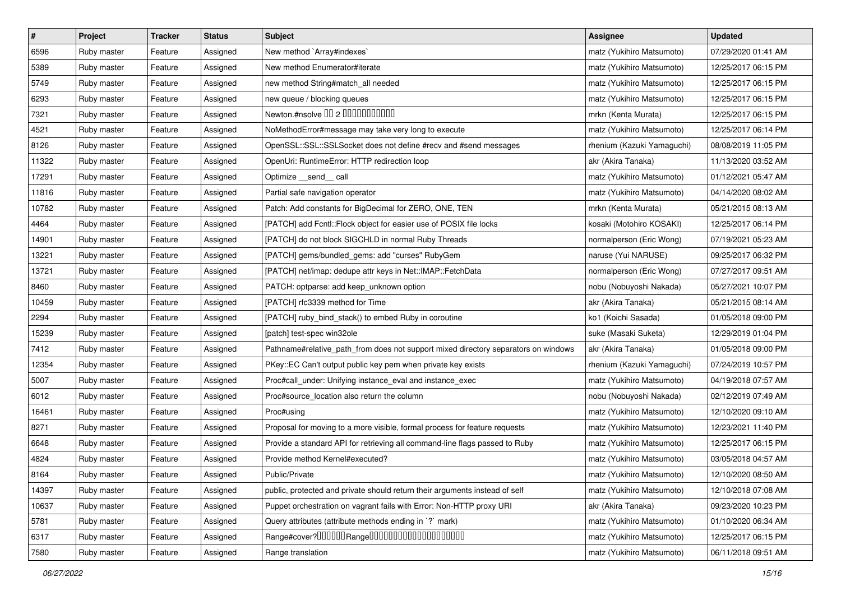| $\pmb{\#}$ | Project     | <b>Tracker</b> | <b>Status</b> | Subject                                                                            | <b>Assignee</b>            | <b>Updated</b>      |
|------------|-------------|----------------|---------------|------------------------------------------------------------------------------------|----------------------------|---------------------|
| 6596       | Ruby master | Feature        | Assigned      | New method `Array#indexes`                                                         | matz (Yukihiro Matsumoto)  | 07/29/2020 01:41 AM |
| 5389       | Ruby master | Feature        | Assigned      | New method Enumerator#iterate                                                      | matz (Yukihiro Matsumoto)  | 12/25/2017 06:15 PM |
| 5749       | Ruby master | Feature        | Assigned      | new method String#match_all needed                                                 | matz (Yukihiro Matsumoto)  | 12/25/2017 06:15 PM |
| 6293       | Ruby master | Feature        | Assigned      | new queue / blocking queues                                                        | matz (Yukihiro Matsumoto)  | 12/25/2017 06:15 PM |
| 7321       | Ruby master | Feature        | Assigned      | Newton.#nsolve 00 2 0000000000                                                     | mrkn (Kenta Murata)        | 12/25/2017 06:15 PM |
| 4521       | Ruby master | Feature        | Assigned      | NoMethodError#message may take very long to execute                                | matz (Yukihiro Matsumoto)  | 12/25/2017 06:14 PM |
| 8126       | Ruby master | Feature        | Assigned      | OpenSSL::SSL::SSLSocket does not define #recv and #send messages                   | rhenium (Kazuki Yamaguchi) | 08/08/2019 11:05 PM |
| 11322      | Ruby master | Feature        | Assigned      | OpenUri: RuntimeError: HTTP redirection loop                                       | akr (Akira Tanaka)         | 11/13/2020 03:52 AM |
| 17291      | Ruby master | Feature        | Assigned      | Optimize __send__ call                                                             | matz (Yukihiro Matsumoto)  | 01/12/2021 05:47 AM |
| 11816      | Ruby master | Feature        | Assigned      | Partial safe navigation operator                                                   | matz (Yukihiro Matsumoto)  | 04/14/2020 08:02 AM |
| 10782      | Ruby master | Feature        | Assigned      | Patch: Add constants for BigDecimal for ZERO, ONE, TEN                             | mrkn (Kenta Murata)        | 05/21/2015 08:13 AM |
| 4464       | Ruby master | Feature        | Assigned      | [PATCH] add Fcntl::Flock object for easier use of POSIX file locks                 | kosaki (Motohiro KOSAKI)   | 12/25/2017 06:14 PM |
| 14901      | Ruby master | Feature        | Assigned      | [PATCH] do not block SIGCHLD in normal Ruby Threads                                | normalperson (Eric Wong)   | 07/19/2021 05:23 AM |
| 13221      | Ruby master | Feature        | Assigned      | [PATCH] gems/bundled_gems: add "curses" RubyGem                                    | naruse (Yui NARUSE)        | 09/25/2017 06:32 PM |
| 13721      | Ruby master | Feature        | Assigned      | [PATCH] net/imap: dedupe attr keys in Net::IMAP::FetchData                         | normalperson (Eric Wong)   | 07/27/2017 09:51 AM |
| 8460       | Ruby master | Feature        | Assigned      | PATCH: optparse: add keep_unknown option                                           | nobu (Nobuyoshi Nakada)    | 05/27/2021 10:07 PM |
| 10459      | Ruby master | Feature        | Assigned      | [PATCH] rfc3339 method for Time                                                    | akr (Akira Tanaka)         | 05/21/2015 08:14 AM |
| 2294       | Ruby master | Feature        | Assigned      | [PATCH] ruby_bind_stack() to embed Ruby in coroutine                               | ko1 (Koichi Sasada)        | 01/05/2018 09:00 PM |
| 15239      | Ruby master | Feature        | Assigned      | [patch] test-spec win32ole                                                         | suke (Masaki Suketa)       | 12/29/2019 01:04 PM |
| 7412       | Ruby master | Feature        | Assigned      | Pathname#relative_path_from does not support mixed directory separators on windows | akr (Akira Tanaka)         | 01/05/2018 09:00 PM |
| 12354      | Ruby master | Feature        | Assigned      | PKey::EC Can't output public key pem when private key exists                       | rhenium (Kazuki Yamaguchi) | 07/24/2019 10:57 PM |
| 5007       | Ruby master | Feature        | Assigned      | Proc#call_under: Unifying instance_eval and instance_exec                          | matz (Yukihiro Matsumoto)  | 04/19/2018 07:57 AM |
| 6012       | Ruby master | Feature        | Assigned      | Proc#source_location also return the column                                        | nobu (Nobuyoshi Nakada)    | 02/12/2019 07:49 AM |
| 16461      | Ruby master | Feature        | Assigned      | Proc#using                                                                         | matz (Yukihiro Matsumoto)  | 12/10/2020 09:10 AM |
| 8271       | Ruby master | Feature        | Assigned      | Proposal for moving to a more visible, formal process for feature requests         | matz (Yukihiro Matsumoto)  | 12/23/2021 11:40 PM |
| 6648       | Ruby master | Feature        | Assigned      | Provide a standard API for retrieving all command-line flags passed to Ruby        | matz (Yukihiro Matsumoto)  | 12/25/2017 06:15 PM |
| 4824       | Ruby master | Feature        | Assigned      | Provide method Kernel#executed?                                                    | matz (Yukihiro Matsumoto)  | 03/05/2018 04:57 AM |
| 8164       | Ruby master | Feature        | Assigned      | Public/Private                                                                     | matz (Yukihiro Matsumoto)  | 12/10/2020 08:50 AM |
| 14397      | Ruby master | Feature        | Assigned      | public, protected and private should return their arguments instead of self        | matz (Yukihiro Matsumoto)  | 12/10/2018 07:08 AM |
| 10637      | Ruby master | Feature        | Assigned      | Puppet orchestration on vagrant fails with Error: Non-HTTP proxy URI               | akr (Akira Tanaka)         | 09/23/2020 10:23 PM |
| 5781       | Ruby master | Feature        | Assigned      | Query attributes (attribute methods ending in `?` mark)                            | matz (Yukihiro Matsumoto)  | 01/10/2020 06:34 AM |
| 6317       | Ruby master | Feature        | Assigned      |                                                                                    | matz (Yukihiro Matsumoto)  | 12/25/2017 06:15 PM |
| 7580       | Ruby master | Feature        | Assigned      | Range translation                                                                  | matz (Yukihiro Matsumoto)  | 06/11/2018 09:51 AM |